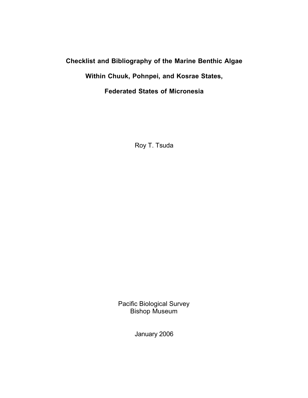# **Checklist and Bibliography of the Marine Benthic Algae**

**Within Chuuk, Pohnpei, and Kosrae States,**

**Federated States of Micronesia**

Roy T. Tsuda

Pacific Biological Survey Bishop Museum

January 2006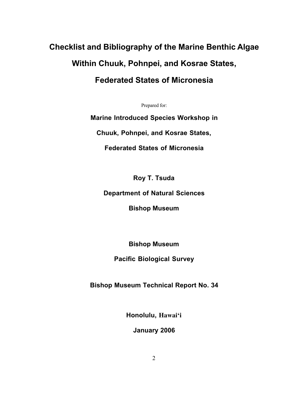# **Checklist and Bibliography of the Marine Benthic Algae Within Chuuk, Pohnpei, and Kosrae States,**

# **Federated States of Micronesia**

Prepared for:

**Marine Introduced Species Workshop in**

**Chuuk, Pohnpei, and Kosrae States,**

**Federated States of Micronesia**

**Roy T. Tsuda**

**Department of Natural Sciences**

**Bishop Museum**

**Bishop Museum**

**Pacific Biological Survey**

**Bishop Museum Technical Report No. 34**

**Honolulu, Hawai'i**

**January 2006**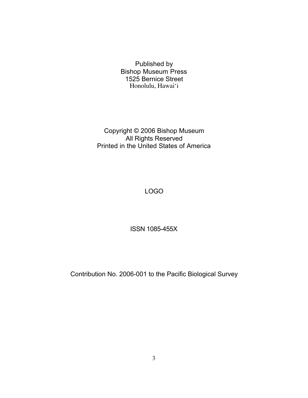Published by Bishop Museum Press 1525 Bernice Street Honolulu, Hawai'i

Copyright © 2006 Bishop Museum **All Rights Reserved** Printed in the United States of America

LOGO

ISSN 1085-455X

Contribution No. 2006-001 to the Pacific Biological Survey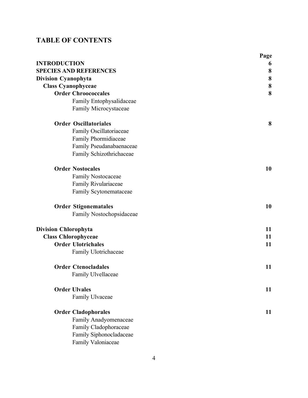# **TABLE OF CONTENTS**

|                               | Page |
|-------------------------------|------|
| <b>INTRODUCTION</b>           | 6    |
| <b>SPECIES AND REFERENCES</b> | 8    |
| <b>Division Cyanophyta</b>    | 8    |
| <b>Class Cyanophyceae</b>     | 8    |
| <b>Order Chroococcales</b>    | 8    |
| Family Entophysalidaceae      |      |
| Family Microcystaceae         |      |
| <b>Order Oscillatoriales</b>  | 8    |
| Family Oscillatoriaceae       |      |
| Family Phormidiaceae          |      |
| Family Pseudanabaenaceae      |      |
| Family Schizothrichaceae      |      |
| <b>Order Nostocales</b>       | 10   |
| <b>Family Nostocaceae</b>     |      |
| Family Rivulariaceae          |      |
| Family Scytonemataceae        |      |
| <b>Order Stigonematales</b>   | 10   |
| Family Nostochopsidaceae      |      |
| <b>Division Chlorophyta</b>   | 11   |
| <b>Class Chlorophyceae</b>    | 11   |
| <b>Order Ulotrichales</b>     | 11   |
| Family Ulotrichaceae          |      |
| <b>Order Ctenocladales</b>    | 11   |
| Family Ulvellaceae            |      |
| <b>Order Ulvales</b>          | 11   |
| Family Ulvaceae               |      |
| <b>Order Cladophorales</b>    | 11   |
| Family Anadyomenaceae         |      |
| Family Cladophoraceae         |      |
| Family Siphonocladaceae       |      |
| Family Valoniaceae            |      |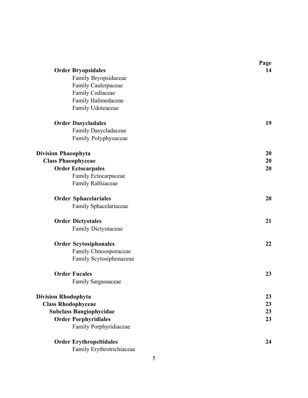|                                | Page |
|--------------------------------|------|
| <b>Order Bryopsidales</b>      | 14   |
| Family Bryopsidaceae           |      |
| Family Caulerpaceae            |      |
| Family Codiaceae               |      |
| Family Halimedaceae            |      |
| Family Udoteaceae              |      |
| <b>Order Dasycladales</b>      | 19   |
| Family Dasycladaceae           |      |
| Family Polyphysaceae           |      |
| <b>Division Phaeophyta</b>     | 20   |
| <b>Class Phaeophyceae</b>      | 20   |
| <b>Order Ectocarpales</b>      | 20   |
| Family Ectocarpaceae           |      |
| Family Ralfsiaceae             |      |
| <b>Order Sphacelariales</b>    | 20   |
| Family Sphacelariaceae         |      |
| <b>Order Dictyotales</b>       | 21   |
| Family Dictyotaceae            |      |
| <b>Order Scytosiphonales</b>   | 22   |
| Family Chnoosporaceae          |      |
| Family Scytosiphonaceae        |      |
| <b>Order Fucales</b>           | 23   |
| <b>Family Sargassaceae</b>     |      |
| <b>Division Rhodophyta</b>     | 23   |
| <b>Class Rhodophyceae</b>      | 23   |
| <b>Subclass Bangiophycidae</b> | 23   |
| <b>Order Porphyridiales</b>    | 23   |
| Family Porphyridiaceae         |      |
| <b>Order Erythropeltidales</b> | 24   |
| Family Erythrotrichiaceae      |      |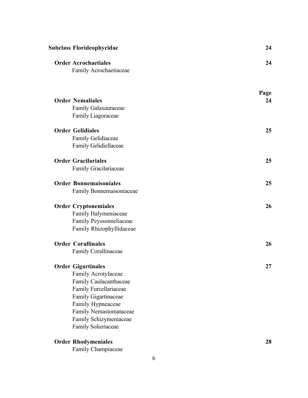| Subclass Florideophycidae     | 24   |
|-------------------------------|------|
| <b>Order Acrochaetiales</b>   | 24   |
| Family Acrochaetiaceae        |      |
|                               | Page |
| <b>Order Nemaliales</b>       | 24   |
| Family Galaxauraceae          |      |
| Family Liagoraceae            |      |
| <b>Order Gelidiales</b>       | 25   |
| Family Gelidiaceae            |      |
| Family Gelidiellaceae         |      |
| <b>Order Gracilariales</b>    | 25   |
| Family Gracilariaceae         |      |
| <b>Order Bonnemaisoniales</b> | 25   |
| Family Bonnemaisoniaceae      |      |
| <b>Order Cryptonemiales</b>   | 26   |
| Family Halymeniaceae          |      |
| Family Peyssonneliaceae       |      |
| Family Rhizophyllidaceae      |      |
| <b>Order Corallinales</b>     | 26   |
| Family Corallinaceae          |      |
| <b>Order Gigartinales</b>     | 27   |
| Family Acrotylaceae           |      |
| Family Caulacanthaceae        |      |
| Family Furcellariaceae        |      |
| Family Gigartinaceae          |      |
| Family Hypneaceae             |      |
| Family Nemastomataceae        |      |
| Family Schizymeniaceae        |      |
| Family Solieriaceae           |      |
| <b>Order Rhodymeniales</b>    | 28   |
| Family Champiaceae            |      |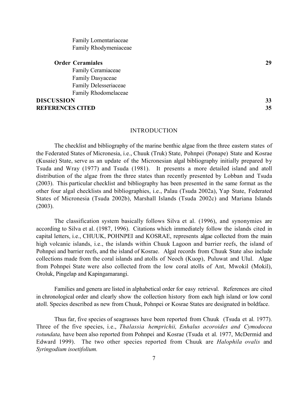Family Lomentariaceae Family Rhodymeniaceae

#### **Order Ceramiales 29**

Family Ceramiaceae Family Dasyaceae Family Delesseriaceae Family Rhodomelaceae

# **DISCUSSION 33 REFERENCES CITED 35**

|  |  | ۰.      |
|--|--|---------|
|  |  | ×<br>۰. |
|  |  |         |
|  |  |         |

#### INTRODUCTION

The checklist and bibliography of the marine benthic algae from the three eastern states of the Federated States of Micronesia, i.e., Chuuk (Truk) State, Pohnpei (Ponape) State and Kosrae (Kusaie) State, serve as an update of the Micronesian algal bibliography initially prepared by Tsuda and Wray (1977) and Tsuda (1981). It presents a more detailed island and atoll distribution of the algae from the three states than recently presented by Lobban and Tsuda (2003). This particular checklist and bibliography has been presented in the same format as the other four algal checklists and bibliographies, i.e., Palau (Tsuda 2002a), Yap State, Federated States of Micronesia (Tsuda 2002b), Marshall Islands (Tsuda 2002c) and Mariana Islands (2003).

The classification system basically follows Silva et al. (1996), and synonymies are according to Silva et al. (1987, 1996). Citations which immediately follow the islands cited in capital letters, i.e., CHUUK, POHNPEI and KOSRAE, represents algae collected from the main high volcanic islands, i.e., the islands within Chuuk Lagoon and barrier reefs, the island of Pohnpei and barrier reefs, and the island of Kosrae. Algal records from Chuuk State also include collections made from the coral islands and atolls of Neoch (Kuop), Puluwat and Ulul. Algae from Pohnpei State were also collected from the low coral atolls of Ant, Mwokil (Mokil), Oroluk, Pingelap and Kapingamarangi.

Families and genera are listed in alphabetical order for easy retrieval. References are cited in chronological order and clearly show the collection history from each high island or low coral atoll. Species described as new from Chuuk, Pohnpei or Kosrae States are designated in boldface.

Thus far, five species of seagrasses have been reported from Chuuk (Tsuda et al. 1977). Three of the five species, i.e., *Thalassia hemprichii, Enhalus acoroides and Cymodocea rotundata,* have been also reported from Pohnpei and Kosrae (Tsuda et al. 1977, McDermid and Edward 1999). The two other species reported from Chuuk are *Halophila ovalis* and *Syringodium isoetifolium.*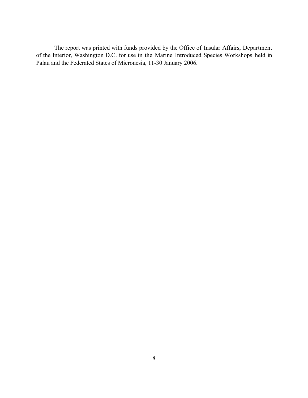The report was printed with funds provided by the Office of Insular Affairs, Department of the Interior, Washington D.C. for use in the Marine Introduced Species Workshops held in Palau and the Federated States of Micronesia, 11-30 January 2006.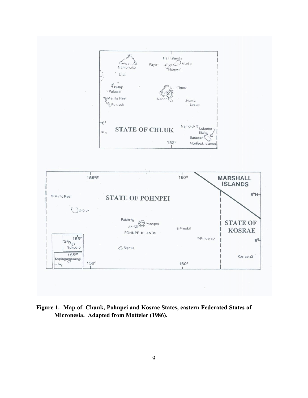

**Figure 1. Map of Chuuk, Pohnpei and Kosrae States, eastern Federated States of Micronesia. Adapted from Motteler (1986).**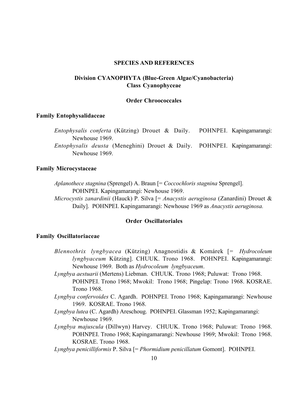#### **SPECIES AND REFERENCES**

# **Division CYANOPHYTA (Blue-Green Algae/Cyanobacteria) Class Cyanophyceae**

#### **Order Chroococcales**

#### **Family Entophysalidaceae**

*Entophysalis conferta* (Kützing) Drouet & Daily. POHNPEI. Kapingamarangi: Newhouse 1969.

*Entophysalis deusta* (Meneghini) Drouet & Daily. POHNPEI. Kapingamarangi: Newhouse 1969.

# **Family Microcystaceae**

*Aplanothece stagnina* (Sprengel) A. Braun [= *Coccochloris stagnina* Sprengel]. POHNPEI. Kapingamarangi: Newhouse 1969.

*Microcystis zanardinii* (Hauck) P. Silva [= *Anacystis aeruginosa* (Zanardini) Drouet & Daily]. POHNPEI. Kapingamarangi: Newhouse 1969 as *Anacystis aeruginosa.*

# **Order Oscillatoriales**

# **Family Oscillatoriaceae**

- *Blennothrix lyngbyacea* (Kützing) Anagnostidis & Komárek [= *Hydrocoleum lyngbyaceum* Kützing]. CHUUK. Trono 1968. POHNPEI. Kapingamarangi: Newhouse 1969. Both as *Hydrocoleum lyngbyaceum*.
- *Lyngbya aestuarii* (Mertens) Liebman. CHUUK. Trono 1968; Puluwat: Trono 1968. POHNPEI. Trono 1968; Mwokil: Trono 1968; Pingelap: Trono 1968. KOSRAE. Trono 1968.
- *Lyngbya confervoides* C. Agardh. POHNPEI. Trono 1968; Kapingamarangi: Newhouse 1969. KOSRAE. Trono 1968.
- *Lyngbya lutea* (C. Agardh) Areschoug. POHNPEI. Glassman 1952; Kapingamarangi: Newhouse 1969.
- *Lyngbya majuscula* (Dillwyn) Harvey. CHUUK. Trono 1968; Puluwat: Trono 1968. POHNPEI. Trono 1968; Kapingamarangi: Newhouse 1969; Mwokil: Trono 1968. KOSRAE. Trono 1968.
- *Lyngbya penicilliformis* P. Silva [= *Phormidium penicillatum* Gomont]. POHNPEI.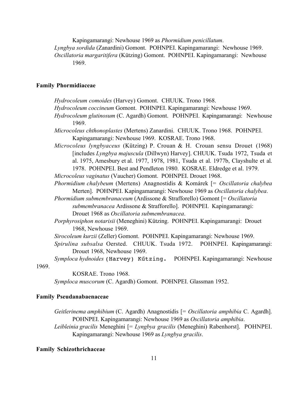Kapingamarangi: Newhouse 1969 as *Phormidium penicillatum*.

*Lyngbya sordida* (Zanardini) Gomont. POHNPEI. Kapingamarangi: Newhouse 1969. *Oscillatoria margaritifera* (Kützing) Gomont. POHNPEI. Kapingamarangi: Newhouse 1969.

# **Family Phormidiaceae**

*Hydrocoleum comoides* (Harvey) Gomont. CHUUK. Trono 1968.

- *Hydrocoleum coccineum* Gomont. POHNPEI. Kapingamarangi: Newhouse 1969.
- *Hydrocoleum glutinosum* (C. Agardh) Gomont. POHNPEI. Kapingamarangi: Newhouse 1969.

*Microcoleus chthonoplastes* (Mertens) Zanardini. CHUUK. Trono 1968. POHNPEI. Kapingamarangi: Newhouse 1969. KOSRAE. Trono 1968.

*Microcoleus lyngbyaceus* (Kützing) P. Crouan & H. Crouan sensu Drouet (1968) [includes *Lyngbya majuscula* (Dillwyn) Harvey]. CHUUK. Tsuda 1972, Tsuda et al. 1975, Amesbury et al. 1977, 1978, 1981, Tsuda et al. 1977b, Clayshulte et al. 1978. POHNPEI. Best and Pendleton 1980. KOSRAE. Eldredge et al. 1979.

*Microcoleus vaginatus* (Vaucher) Gomont. POHNPEI. Drouet 1968.

*Phormidium chalybeum* (Mertens) Anagnostidis & Komárek [= *Oscillatoria chalybea* Merten]. POHNPEI. Kapingamarangi: Newhouse 1969 as *Oscillatoria chalybea*.

*Phormidium submembranaceum* (Ardissone & Strafforello) Gomont [= *Oscillatoria submembranacea* Ardissone & Strafforello]. POHNPEI. Kapingamarangi: Drouet 1968 as *Oscillatoria submembranacea*.

*Porphyrosiphon notarisii* (Meneghini) Kützing. POHNPEI. Kapingamarangi: Drouet 1968, Newhouse 1969.

- *Sirocoleum kurzii* (Zeller) Gomont. POHNPEI. Kapingamarangi: Newhouse 1969.
- *Spirulina subsalsa* Oersted. CHUUK. Tsuda 1972. POHNPEI. Kapingamarangi: Drouet 1968, Newhouse 1969.

*Symploca hydnoides* (Harvey) Kűtzing. POHNPEI. Kapingamarangi: Newhouse 1969.

KOSRAE. Trono 1968. *Symploca muscorum* (C. Agardh) Gomont. POHNPEI. Glassman 1952.

# **Family Pseudanabaenaceae**

*Geitlerinema amphibium* (C. Agardh) Anagnostidis [= *Oscillatoria amphibia* C. Agardh]. POHNPEI. Kapingamarangi: Newhouse 1969 as *Oscillatoria amphibia*.

*Leibleinia gracilis* Meneghini [= *Lyngbya gracilis* (Meneghini) Rabenhorst]. POHNPEI. Kapingamarangi: Newhouse 1969 as *Lyngbya gracilis*.

#### **Family Schizothrichaceae**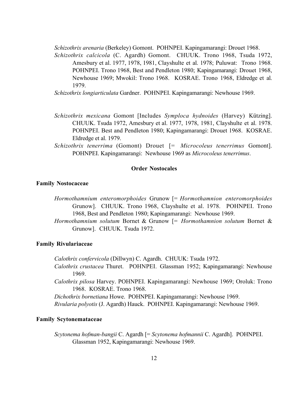*Schizothrix arenaria* (Berkeley) Gomont. POHNPEI. Kapingamarangi: Drouet 1968.

*Schizothrix calcicola* (C. Agardh) Gomont. CHUUK. Trono 1968, Tsuda 1972, Amesbury et al. 1977, 1978, 1981, Clayshulte et al. 1978; Puluwat: Trono 1968. POHNPEI. Trono 1968, Best and Pendleton 1980; Kapingamarangi: Drouet 1968, Newhouse 1969; Mwokil: Trono 1968. KOSRAE. Trono 1968, Eldredge et al. 1979.

*Schizothrix longiarticulata* Gardner. POHNPEI. Kapingamarangi: Newhouse 1969.

- *Schizothrix mexicana* Gomont [Includes *Symploca hydnoides* (Harvey) Kützing]. CHUUK. Tsuda 1972, Amesbury et al. 1977, 1978, 1981, Clayshulte et al. 1978. POHNPEI. Best and Pendleton 1980; Kapingamarangi: Drouet 1968. KOSRAE. Eldredge et al. 1979.
- *Schizothrix tenerrima* (Gomont) Drouet [= *Microcoleus tenerrimus* Gomont]. POHNPEI. Kapingamarangi: Newhouse 1969 as *Microcoleus tenerrimus*.

# **Order Nostocales**

# **Family Nostocaceae**

- *Hormothamnium enteromorphoides* Grunow [= *Hormothamnion enteromorphoides* Grunow]. CHUUK. Trono 1968, Clayshulte et al. 1978. POHNPEI. Trono 1968, Best and Pendleton 1980; Kapingamarangi: Newhouse 1969.
- *Hormothamnium solutum* Bornet & Grunow [= *Hormothamnion solutum* Bornet & Grunow]. CHUUK. Tsuda 1972.

### **Family Rivulariaceae**

*Calothrix confervicola* (Dillwyn) C. Agardh. CHUUK: Tsuda 1972.

- *Calothrix crustacea* Thuret. POHNPEI. Glassman 1952; Kapingamarangi: Newhouse 1969.
- *Calothrix pilosa* Harvey. POHNPEI. Kapingamarangi: Newhouse 1969; Oroluk: Trono 1968. KOSRAE. Trono 1968.

*Dichothrix bornetiana* Howe. POHNPEI. Kapingamarangi: Newhouse 1969.

*Rivularia polyotis* (J. Agardh) Hauck. POHNPEI. Kapingamarangi: Newhouse 1969.

# **Family Scytonemataceae**

*Scytonema hofman-bangii* C. Agardh [= *Scytonema hofmannii* C. Agardh]. POHNPEI. Glassman 1952, Kapingamarangi: Newhouse 1969.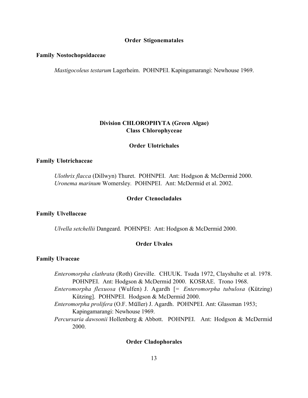#### **Order Stigonematales**

#### **Family Nostochopsidaceae**

*Mastigocoleus testarum* Lagerheim. POHNPEI. Kapingamarangi: Newhouse 1969.

# **Division CHLOROPHYTA (Green Algae) Class Chlorophyceae**

#### **Order Ulotrichales**

# **Family Ulotrichaceae**

*Ulothrix flacca* (Dillwyn) Thuret. POHNPEI. Ant: Hodgson & McDermid 2000. *Uronema marinum* Womersley*.* POHNPEI. Ant: McDermid et al. 2002.

# **Order Ctenocladales**

#### **Family Ulvellaceae**

*Ulvella setchellii* Dangeard. POHNPEI: Ant: Hodgson & McDermid 2000.

# **Order Ulvales**

#### **Family Ulvaceae**

*Enteromorpha clathrata* (Roth) Greville. CHUUK. Tsuda 1972, Clayshulte et al. 1978. POHNPEI. Ant: Hodgson & McDermid 2000. KOSRAE. Trono 1968.

- *Enteromorpha flexuosa* (Wulfen) J. Agardh [= *Enteromorpha tubulosa* (Kützing) Kützing]. POHNPEI. Hodgson & McDermid 2000.
- *Enteromorpha prolifera* (O.F. Műller) J. Agardh. POHNPEI. Ant: Glassman 1953; Kapingamarangi: Newhouse 1969.
- *Percursaria dawsonii* Hollenberg & Abbott. POHNPEI. Ant: Hodgson & McDermid 2000.

#### **Order Cladophorales**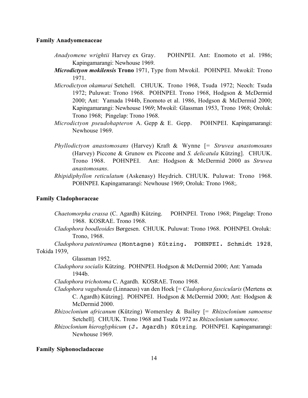#### **Family Anadyomenaceae**

- *Anadyomene wrightii* Harvey ex Gray. POHNPEI. Ant: Enomoto et al. 1986; Kapingamarangi: Newhouse 1969.
- *Microdictyon mokilensis* **Trono** 1971, Type from Mwokil. POHNPEI. Mwokil: Trono 1971.
- *Microdictyon okamurai* Setchell. CHUUK. Trono 1968, Tsuda 1972; Neoch: Tsuda 1972; Puluwat: Trono 1968. POHNPEI. Trono 1968, Hodgson & McDermid 2000; Ant: Yamada 1944b, Enomoto et al. 1986, Hodgson & McDermid 2000; Kapingamarangi: Newhouse 1969; Mwokil: Glassman 1953, Trono 1968; Oroluk: Trono 1968; Pingelap: Trono 1968.
- *Microdictyon pseudohapteron* A. Gepp & E. Gepp. POHNPEI. Kapingamarangi: Newhouse 1969.
- *Phyllodictyon anastomosans* (Harvey) Kraft & Wynne [= *Struvea anastomosans* (Harvey) Piccone & Grunow ex Piccone and *S. delicatula* Kützing]. CHUUK. Trono 1968. POHNPEI. Ant: Hodgson & McDermid 2000 as *Struvea anastomosans*.
- *Rhipidiphyllon reticulatum* (Askenasy) Heydrich. CHUUK. Puluwat: Trono 1968. POHNPEI. Kapingamarangi: Newhouse 1969; Oroluk: Trono 1968;.

# **Family Cladophoraceae**

- *Chaetomorpha crassa* (C. Agardh) Kützing. POHNPEI. Trono 1968; Pingelap: Trono 1968. KOSRAE. Trono 1968.
- *Cladophora boodleoides* Børgesen. CHUUK. Puluwat: Trono 1968. POHNPEI. Oroluk: Trono, 1968.

*Cladophora patentiramea* (Montagne) Kűtzing. POHNPEI. Schmidt 1928, Tokida 1939,

Glassman 1952.

*Cladophora socialis* Kützing. POHNPEI. Hodgson & McDermid 2000; Ant: Yamada 1944b.

*Cladophora trichotoma* C. Agardh. KOSRAE. Trono 1968.

- *Cladophora vagabunda* (Linnaeus) van den Hoek [= *Cladophora fascicularis* (Mertens ex C. Agardh) Kützing]. POHNPEI. Hodgson & McDermid 2000; Ant: Hodgson & McDermid 2000.
- *Rhizoclonium africanum* (Kützing) Womersley & Bailey [= *Rhizoclonium samoense* Setchell]. CHUUK. Trono 1968 and Tsuda 1972 as *Rhizoclonium samoense*.
- *Rhizoclonium hieroglyphicum* (J. Agardh) Kűtzing. POHNPEI. Kapingamarangi: Newhouse 1969.

#### **Family Siphonocladaceae**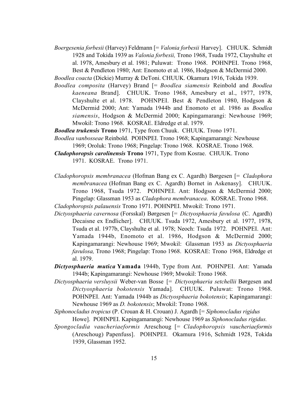*Boergesenia forbesii* (Harvey) Feldmann [= *Valonia forbesii* Harvey]. CHUUK. Schmidt 1928 and Tokida 1939 as *Valonia forbesii,* Trono 1968, Tsuda 1972, Clayshulte et al. 1978, Amesbury et al. 1981; Puluwat: Trono 1968. POHNPEI. Trono 1968, Best & Pendleton 1980; Ant: Enomoto et al. 1986, Hodgson & McDermid 2000.

*Boodlea coacta* (Dickie) Murray & DeToni. CHUUK. Okamura 1916, Tokida 1939.

*Boodlea composita* (Harvey) Brand [= *Boodlea siamensis* Reinbold and *Boodlea kaeneana* Brand]. CHUUK. Trono 1968, Amesbury et al., 1977, 1978, Clayshulte et al. 1978. POHNPEI. Best & Pendleton 1980, Hodgson & McDermid 2000; Ant: Yamada 1944b and Enomoto et al. 1986 as *Boodlea siamensis*, Hodgson & McDermid 2000; Kapingamarangi: Newhouse 1969; Mwokil: Trono 1968. KOSRAE. Eldredge et al. 1979.

*Boodlea trukensis* **Trono** 1971, Type from Chuuk. CHUUK. Trono 1971.

- *Boodlea vanbosseae* Reinbold. POHNPEI. Trono 1968; Kapingamarangi: Newhouse 1969; Oroluk: Trono 1968; Pingelap: Trono 1968. KOSRAE. Trono 1968.
- *Cladophoropsis carolinensis* **Trono** 1971, Type from Kosrae. CHUUK. Trono 1971. KOSRAE. Trono 1971.
- *Cladophoropsis membranacea* (Hofman Bang ex C. Agardh) Børgesen [= *Cladophora membranacea* (Hofman Bang ex C. Agardh) Bornet in Askenasy]. CHUUK. Trono 1968, Tsuda 1972. POHNPEI. Ant: Hodgson & McDermid 2000; Pingelap: Glassman 1953 as *Cladophora membranacea*. KOSRAE. Trono 1968.

*Cladophoropsis palauensis* Trono 1971. POHNPEI. Mwokil: Trono 1971.

- *Dictyosphaeria cavernosa* (Forsskal) Børgesen [= *Dictyosphaeria favulosa* (C. Agardh) Decaisne ex Endlicher]. CHUUK. Tsuda 1972, Amesbury et al. 1977, 1978, Tsuda et al. 1977b, Clayshulte et al. 1978; Neoch: Tsuda 1972. POHNPEI. Ant: Yamada 1944b, Enomoto et al. 1986, Hodgson & McDermid 2000; Kapingamarangi: Newhouse 1969; Mwokil: Glassman 1953 as *Dictyosphaeria favulosa,* Trono 1968; Pingelap: Trono 1968. KOSRAE: Trono 1968, Eldredge et al. 1979.
- *Dictyosphaeria mutica* **Yamada** 1944b, Type from Ant. POHNPEI. Ant: Yamada 1944b; Kapingamarangi: Newhouse 1969; Mwokil: Trono 1968.
- *Dictyosphaeria versluysii* Weber-van Bosse [= *Dictyosphaeria setchellii* Børgesen and *Dictyosphaeria bokotensis* Yamada]. CHUUK. Puluwat: Trono 1968. POHNPEI. Ant: Yamada 1944b as *Dictyosphaeria bokotensis*; Kapingamarangi: Newhouse 1969 as *D. bokotensis*; Mwokil: Trono 1968.
- *Siphonocladus tropicus* (P. Crouan & H. Crouan) J. Agardh [= *Siphonocladus rigidus* Howe].POHNPEI. Kapingamarangi: Newhouse 1969 as *Siphonocladus rigidus.*
- *Spongocladia vaucheriaeformis* Areschoug [= *Cladophoropsis vaucheriaeformis* (Areschoug) Papenfuss]. POHNPEI. Okamura 1916, Schmidt 1928, Tokida 1939, Glassman 1952.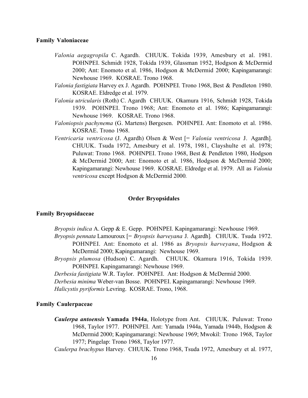#### **Family Valoniaceae**

- *Valonia aegagropila* C. Agardh. CHUUK. Tokida 1939, Amesbury et al. 1981. POHNPEI. Schmidt 1928, Tokida 1939, Glassman 1952, Hodgson & McDermid 2000; Ant: Enomoto et al. 1986, Hodgson & McDermid 2000; Kapingamarangi: Newhouse 1969. KOSRAE. Trono 1968.
- *Valonia fastigiata* Harvey ex J. Agardh. POHNPEI. Trono 1968, Best & Pendleton 1980. KOSRAE. Eldredge et al. 1979.
- *Valonia utricularis* (Roth) C. Agardh CHUUK. Okamura 1916, Schmidt 1928, Tokida 1939. POHNPEI. Trono 1968; Ant: Enomoto et al. 1986; Kapingamarangi: Newhouse 1969. KOSRAE. Trono 1968.
- *Valoniopsis pachynema* (G. Martens) Børgesen. POHNPEI. Ant: Enomoto et al. 1986. KOSRAE. Trono 1968.
- *Ventricaria ventricosa* (J. Agardh) Olsen & West [= *Valonia ventricosa* J. Agardh]. CHUUK. Tsuda 1972, Amesbury et al. 1978, 1981, Clayshulte et al. 1978; Puluwat: Trono 1968. POHNPEI. Trono 1968, Best & Pendleton 1980, Hodgson & McDermid 2000; Ant: Enomoto et al. 1986, Hodgson & McDermid 2000; Kapingamarangi: Newhouse 1969. KOSRAE. Eldredge et al. 1979. All as *Valonia ventricosa* except Hodgson & McDermid 2000*.*

# **Order Bryopsidales**

#### **Family Bryopsidaceae**

- *Bryopsis indica* A. Gepp & E. Gepp. POHNPEI. Kapingamarangi: Newhouse 1969.
- *Bryopsis pennata* Lamouroux [= *Bryopsis harveyana* J. Agardh]*.* CHUUK. Tsuda 1972. POHNPEI. Ant: Enomoto et al. 1986 as *Bryopsis harveyana*, Hodgson & McDermid 2000; Kapingamarangi: Newhouse 1969.
- *Bryopsis plumosa* (Hudson) C. Agardh. CHUUK. Okamura 1916, Tokida 1939. POHNPEI. Kapingamarangi: Newhouse 1969.

*Derbesia fastigiata* W.R. Taylor. POHNPEI. Ant: Hodgson & McDermid 2000.

*Derbesia minima* Weber-van Bosse. POHNPEI. Kapingamarangi: Newhouse 1969.

*Halicystis pyriformis* Levring. KOSRAE. Trono, 1968.

#### **Family Caulerpaceae**

*Caulerpa antoensis* **Yamada 1944a**, Holotype from Ant. CHUUK. Puluwat: Trono 1968, Taylor 1977. POHNPEI. Ant: Yamada 1944a, Yamada 1944b, Hodgson & McDermid 2000; Kapingamarangi: Newhouse 1969; Mwokil: Trono 1968, Taylor 1977; Pingelap: Trono 1968, Taylor 1977.

*Caulerpa brachypus* Harvey. CHUUK. Trono 1968, Tsuda 1972, Amesbury et al. 1977,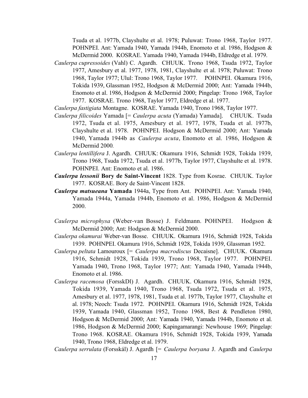Tsuda et al. 1977b, Clayshulte et al. 1978; Puluwat: Trono 1968, Taylor 1977. POHNPEI. Ant: Yamada 1940, Yamada 1944b, Enomoto et al. 1986, Hodgson & McDermid 2000. KOSRAE. Yamada 1940, Yamada 1944b, Eldredge et al. 1979.

*Caulerpa cupressoides* (Vahl) C. Agardh. CHUUK. Trono 1968, Tsuda 1972, Taylor 1977, Amesbury et al. 1977, 1978, 1981, Clayshulte et al. 1978; Puluwat: Trono 1968, Taylor 1977; Ulul: Trono 1968, Taylor 1977. POHNPEI. Okamura 1916, Tokida 1939, Glassman 1952, Hodgson & McDermid 2000; Ant: Yamada 1944b, Enomoto et al. 1986, Hodgson & McDermid 2000; Pingelap: Trono 1968, Taylor 1977. KOSRAE. Trono 1968, Taylor 1977, Eldredge et al. 1977.

*Caulerpa fastigiata* Montagne. KOSRAE. Yamada 1940, Trono 1968, Taylor 1977.

- *Caulerpa filicoides* Yamada [= *Caulerpa acuta* (Yamada) Yamada]. CHUUK. Tsuda 1972, Tsuda et al. 1975, Amesbury et al. 1977, 1978, Tsuda et al. 1977b, Clayshulte et al. 1978. POHNPEI. Hodgson & McDermid 2000; Ant: Yamada 1940, Yamada 1944b as *Caulerpa acuta*, Enomoto et al. 1986, Hodgson & McDermid 2000*.*
- *Caulerpa lentillifera* J. Agardh. CHUUK: Okamura 1916, Schmidt 1928, Tokida 1939, Trono 1968, Tsuda 1972, Tsuda et al. 1977b, Taylor 1977, Clayshulte et al. 1978. POHNPEI. Ant: Enomoto et al. 1986.
- *Caulerpa lessonii* **Bory de Saint-Vincent** 1828. Type from Kosrae. CHUUK. Taylor 1977. KOSRAE. Bory de Saint-Vincent 1828.
- *Caulerpa matsueana* **Yamada** 1944a, Type from Ant. POHNPEI. Ant: Yamada 1940, Yamada 1944a, Yamada 1944b, Enomoto et al. 1986, Hodgson & McDermid 2000.
- *Caulerpa microphysa* (Weber-van Bosse) J. Feldmann. POHNPEI. Hodgson & McDermid 2000; Ant: Hodgson & McDermid 2000.
- *Caulerpa okamurai* Weber-van Bosse. CHUUK. Okamura 1916, Schmidt 1928, Tokida 1939. POHNPEI. Okamura 1916, Schmidt 1928, Tokida 1939, Glassman 1952.
- *Caulerpa peltata* Lamouroux [= *Caulerpa macrodiscus* Decaisne]. CHUUK. Okamura 1916, Schmidt 1928, Tokida 1939, Trono 1968, Taylor 1977. POHNPEI. Yamada 1940, Trono 1968, Taylor 1977; Ant: Yamada 1940, Yamada 1944b, Enomoto et al. 1986.
- *Caulerpa racemosa* (ForsskDl) J. Agardh. CHUUK. Okamura 1916, Schmidt 1928, Tokida 1939, Yamada 1940, Trono 1968, Tsuda 1972, Tsuda et al. 1975, Amesbury et al. 1977, 1978, 1981, Tsuda et al. 1977b, Taylor 1977, Clayshulte et al. 1978; Neoch: Tsuda 1972. POHNPEI. Okamura 1916, Schmidt 1928, Tokida 1939, Yamada 1940, Glassman 1952, Trono 1968, Best & Pendleton 1980, Hodgson & McDermid 2000; Ant: Yamada 1940, Yamada 1944b, Enomoto et al. 1986, Hodgson & McDermid 2000; Kapingamarangi: Newhouse 1969; Pingelap: Trono 1968. KOSRAE. Okamura 1916, Schmidt 1928, Tokida 1939, Yamada 1940, Trono 1968, Eldredge et al. 1979.

*Caulerpa serrulata* (Forsskál) J. Agardh [= *Caulerpa boryana* J. Agardh and *Caulerpa*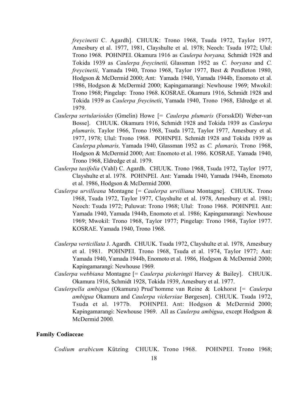*freycinetii* C. Agardh].CHUUK: Trono 1968, Tsuda 1972, Taylor 1977, Amesbury et al. 1977, 1981, Clayshulte et al. 1978; Neoch: Tsuda 1972; Ulul: Trono 1968. POHNPEI. Okamura 1916 as *Caulerpa boryana,* Schmidt 1928 and Tokida 1939 as *Caulerpa freycinetii,* Glassman 1952 as *C. boryana* and *C. freycinetii,* Yamada 1940, Trono 1968, Taylor 1977, Best & Pendleton 1980, Hodgson & McDermid 2000; Ant: Yamada 1940, Yamada 1944b, Enomoto et al. 1986, Hodgson & McDermid 2000; Kapingamarangi: Newhouse 1969; Mwokil: Trono 1968; Pingelap: Trono 1968. KOSRAE. Okamura 1916, Schmidt 1928 and Tokida 1939 as *Caulerpa freycinetii*, Yamada 1940, Trono 1968, Eldredge et al. 1979.

- *Caulerpa sertularioides* (Gmelin) Howe [= *Caulerpa plumaris* (ForsskDl) Weber-van Bosse]. CHUUK. Okamura 1916, Schmidt 1928 and Tokida 1939 as *Caulerpa plumaris,* Taylor 1966, Trono 1968, Tsuda 1972, Taylor 1977, Amesbury et al. 1977, 1978; Ulul: Trono 1968. POHNPEI. Schmidt 1928 and Tokida 1939 as *Caulerpa plumaris,* Yamada 1940, Glassman 1952 as *C. plumaris,* Trono 1968, Hodgson & McDermid 2000; Ant: Enomoto et al. 1986. KOSRAE. Yamada 1940, Trono 1968, Eldredge et al. 1979.
- *Caulerpa taxifolia* (Vahl) C. Agardh. CHUUK. Trono 1968, Tsuda 1972, Taylor 1977, Clayshulte et al. 1978. POHNPEI. Ant: Yamada 1940, Yamada 1944b, Enomoto et al. 1986, Hodgson & McDermid 2000.
- *Caulerpa urvilleana* Montagne [= *Caulerpa urvilliana* Montagne]. CHUUK. Trono 1968, Tsuda 1972, Taylor 1977, Clayshulte et al. 1978, Amesbury et al. 1981; Neoch: Tsuda 1972; Puluwat: Trono 1968; Ulul: Trono 1968. POHNPEI. Ant: Yamada 1940, Yamada 1944b, Enomoto et al. 1986; Kapingamarangi: Newhouse 1969; Mwokil: Trono 1968, Taylor 1977; Pingelap: Trono 1968, Taylor 1977. KOSRAE. Yamada 1940, Trono 1968.
- *Caulerpa verticillata* J. Agardh. CHUUK. Tsuda 1972, Clayshulte et al. 1978, Amesbury et al. 1981. POHNPEI. Trono 1968, Tsuda et al. 1974, Taylor 1977; Ant: Yamada 1940, Yamada 1944b, Enomoto et al. 1986, Hodgson & McDermid 2000; Kapingamarangi: Newhouse 1969.
- *Caulerpa webbiana* Montagne [= *Caulerpa pickeringii* Harvey & Bailey]. CHUUK. Okamura 1916, Schmidt 1928, Tokida 1939, Amesbury et al. 1977.
- *Caulerpella ambigua* (Okamura) Prud'homme van Reine & Lokhorst [= *Caulerpa ambigua* Okamura and *Caulerpa vickersiae* Børgesen].CHUUK. Tsuda 1972, Tsuda et al. 1977b*.* POHNPEI. Ant: Hodgson & McDermid 2000; Kapingamarangi: Newhouse 1969. All as *Caulerpa ambigua*, except Hodgson & McDermid 2000*.*

# **Family Codiaceae**

*Codium arabicum* Kützing CHUUK. Trono 1968. POHNPEI. Trono 1968;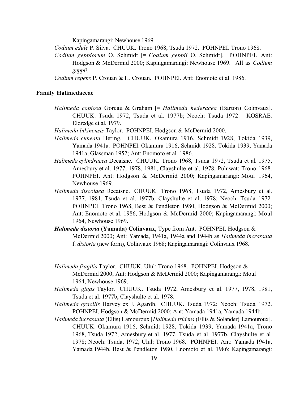Kapingamarangi: Newhouse 1969.

*Codium edule* P. Silva. CHUUK. Trono 1968, Tsuda 1972. POHNPEI. Trono 1968.

*Codium geppiorum* O. Schmidt [= *Codium geppii* O. Schmidt]. POHNPEI. Ant: Hodgson & McDermid 2000; Kapingamarangi: Newhouse 1969. All as *Codium geppii.*

*Codium repens* P. Crouan & H. Crouan. POHNPEI. Ant: Enomoto et al. 1986.

#### **Family Halimedaceae**

- *Halimeda copiosa* Goreau & Graham [= *Halimeda hederacea* (Barton) Colinvaux]. CHUUK. Tsuda 1972, Tsuda et al. 1977b; Neoch: Tsuda 1972. KOSRAE. Eldredge et al. 1979.
- *Halimeda bikinensis* Taylor. POHNPEI. Hodgson & McDermid 2000.
- *Halimeda cuneata* Hering. CHUUK. Okamura 1916, Schmidt 1928, Tokida 1939, Yamada 1941a. POHNPEI. Okamura 1916, Schmidt 1928, Tokida 1939, Yamada 1941a, Glassman 1952; Ant: Enomoto et al. 1986.
- *Halimeda cylindracea* Decaisne. CHUUK. Trono 1968, Tsuda 1972, Tsuda et al. 1975, Amesbury et al. 1977, 1978, 1981, Clayshulte et al. 1978; Puluwat: Trono 1968. POHNPEI. Ant: Hodgson & McDermid 2000; Kapingamarangi: Moul 1964, Newhouse 1969.
- *Halimeda discoidea* Decaisne. CHUUK. Trono 1968, Tsuda 1972, Amesbury et al. 1977, 1981, Tsuda et al. 1977b, Clayshulte et al. 1978; Neoch: Tsuda 1972. POHNPEI. Trono 1968, Best & Pendleton 1980, Hodgson & McDermid 2000; Ant: Enomoto et al. 1986, Hodgson & McDermid 2000; Kapingamarangi: Moul 1964, Newhouse 1969.
- *Halimeda distorta* **(Yamada) Colinvaux**, Type from Ant. POHNPEI. Hodgson & McDermid 2000; Ant: Yamada, 1941a, 1944a and 1944b as *Halimeda incrassata* f. *distorta* (new form), Colinvaux 1968; Kapingamarangi: Colinvaux 1968.
- *Halimeda fragilis* Taylor.CHUUK. Ulul: Trono 1968. POHNPEI. Hodgson & McDermid 2000; Ant: Hodgson & McDermid 2000; Kapingamarangi: Moul 1964, Newhouse 1969.
- *Halimeda gigas* Taylor. CHUUK. Tsuda 1972, Amesbury et al. 1977, 1978, 1981, Tsuda et al. 1977b, Clayshulte et al. 1978.
- *Halimeda gracilis* Harvey ex J. Agardh. CHUUK. Tsuda 1972; Neoch: Tsuda 1972. POHNPEI. Hodgson & McDermid 2000; Ant: Yamada 1941a, Yamada 1944b.
- *Halimeda incrassata* (Ellis) Lamouroux [*Halimeda tridens* (Ellis & Solander) Lamouroux]. CHUUK. Okamura 1916, Schmidt 1928, Tokida 1939, Yamada 1941a, Trono 1968, Tsuda 1972, Amesbury et al. 1977, Tsuda et al. 1977b, Clayshulte et al. 1978; Neoch: Tsuda, 1972; Ulul: Trono 1968. POHNPEI. Ant: Yamada 1941a, Yamada 1944b, Best & Pendleton 1980, Enomoto et al. 1986; Kapingamarangi: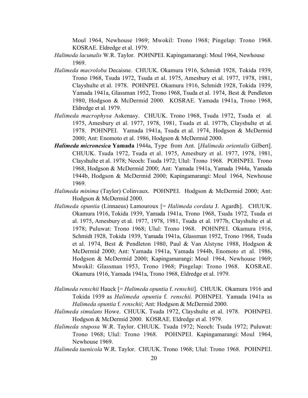Moul 1964, Newhouse 1969; Mwokil: Trono 1968; Pingelap: Trono 1968. KOSRAE. Eldredge et al. 1979.

- *Halimeda lacunalis* W.R. Taylor.POHNPEI. Kapingamarangi: Moul 1964, Newhouse 1969.
- *Halimeda macroloba* Decaisne. CHUUK. Okamura 1916, Schmidt 1928, Tokida 1939, Trono 1968, Tsuda 1972, Tsuda et al. 1975, Amesbury et al. 1977, 1978, 1981, Clayshulte et al. 1978. POHNPEI. Okamura 1916, Schmidt 1928, Tokida 1939, Yamada 1941a, Glassman 1952, Trono 1968, Tsuda et al. 1974, Best & Pendleton 1980, Hodgson & McDermid 2000. KOSRAE. Yamada 1941a, Trono 1968, Eldredge et al. 1979.
- *Halimeda macrophysa* Askenasy. CHUUK. Trono 1968, Tsuda 1972, Tsuda et al. 1975, Amesbury et al. 1977, 1978, 1981, Tsuda et al. 1977b, Clayshulte et al. 1978. POHNPEI. Yamada 1941a, Tsuda et al. 1974, Hodgson & McDermid 2000; Ant: Enomoto et al. 1986, Hodgson & McDermid 2000.
- *Halimeda micronesica* **Yamada** 1944a, Type from Ant. [*Halimeda orientalis* Gilbert]. CHUUK. Tsuda 1972, Tsuda et al. 1975, Amesbury et al. 1977, 1978, 1981, Clayshulte et al. 1978; Neoch: Tsuda 1972; Ulul: Trono 1968. POHNPEI. Trono 1968, Hodgson & McDermid 2000; Ant: Yamada 1941a, Yamada 1944a, Yamada 1944b, Hodgson & McDermid 2000; Kapingamarangi: Moul 1964, Newhouse 1969.
- *Halimeda minima* (Taylor) Colinvaux. POHNPEI. Hodgson & McDermid 2000; Ant: Hodgson & McDermid 2000.
- *Halimeda opuntia* (Linnaeus) Lamouroux [= *Halimeda cordata* J. Agardh]. CHUUK. Okamura 1916, Tokida 1939, Yamada 1941a, Trono 1968, Tsuda 1972, Tsuda et al. 1975, Amesbury et al. 1977, 1978, 1981, Tsuda et al. 1977b, Clayshulte et al. 1978; Puluwat: Trono 1968; Ulul: Trono 1968. POHNPEI. Okamura 1916, Schmidt 1928, Tokida 1939, Yamada 1941a, Glassman 1952, Trono 1968, Tsuda et al. 1974, Best & Pendleton 1980, Paul & Van Alstyne 1988, Hodgson & McDermid 2000; Ant: Yamada 1941a, Yamada 1944b, Enomoto et al. 1986, Hodgson & McDermid 2000; Kapingamarangi: Moul 1964, Newhouse 1969; Mwokil: Glassman 1953, Trono 1968; Pingelap: Trono 1968. KOSRAE. Okamura 1916, Yamada 1941a, Trono 1968, Eldredge et al. 1979.
- *Halimeda renschii* Hauck [= *Halimeda opuntia* f. *renschii*]. CHUUK. Okamura 1916 and Tokida 1939 as *Halimeda opuntia* f. *renschii.* POHNPEI. Yamada 1941a as *Halimeda opuntia* f*. renschii*; Ant: Hodgson & McDermid 2000.
- *Halimeda simulans* Howe.CHUUK. Tsuda 1972, Clayshulte et al. 1978. POHNPEI. Hodgson & McDermid 2000. KOSRAE. Eldredge et al. 1979.
- *Halimeda stuposa* W.R. Taylor. CHUUK. Tsuda 1972; Neoch: Tsuda 1972; Puluwat: Trono 1968; Ulul: Trono 1968. POHNPEI. Kapingamarangi: Moul 1964, Newhouse 1969.
- *Halimeda taenicola* W.R. Taylor. CHUUK. Trono 1968; Ulul: Trono 1968. POHNPEI.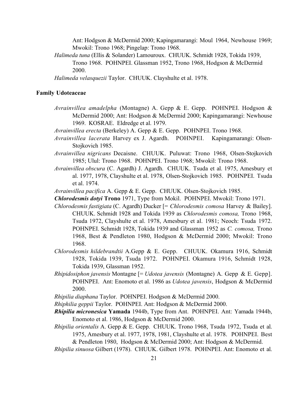Ant: Hodgson & McDermid 2000; Kapingamarangi: Moul 1964, Newhouse 1969; Mwokil: Trono 1968; Pingelap: Trono 1968.

- *Halimeda tuna* (Ellis & Solander) Lamouroux. CHUUK. Schmidt 1928, Tokida 1939, Trono 1968. POHNPEI. Glassman 1952, Trono 1968, Hodgson & McDermid 2000.
- *Halimeda velasquezii* Taylor.CHUUK. Clayshulte et al. 1978.

# **Family Udoteaceae**

- *Avrainvillea amadelpha* (Montagne) A. Gepp & E. Gepp. POHNPEI. Hodgson & McDermid 2000; Ant: Hodgson & McDermid 2000; Kapingamarangi: Newhouse 1969. KOSRAE. Eldredge et al. 1979.
- *Avrainvillea erecta* (Berkeley) A. Gepp & E. Gepp. POHNPEI. Trono 1968.
- *Avrainvillea lacerata* Harvey ex J. Agardh. POHNPEI. Kapingamarangi: Olsen-Stojkovich 1985.
- *Avrainvillea nigricans* Decaisne. CHUUK. Puluwat: Trono 1968, Olsen-Stojkovich 1985; Ulul: Trono 1968. POHNPEI. Trono 1968; Mwokil: Trono 1968.
- *Avrainvillea obscura* (C. Agardh) J. Agardh. CHUUK. Tsuda et al. 1975, Amesbury et al. 1977, 1978, Clayshulte et al. 1978, Olsen-Stojkovich 1985. POHNPEI. Tsuda et al. 1974.

*Avrainvillea pacifica* A. Gepp & E. Gepp. CHUUK. Olsen-Stojkovich 1985.

*Chlorodesmis dotyi* **Trono** 1971, Type from Mokil. POHNPEI. Mwokil: Trono 1971.

- *Chlorodesmis fastigiata* (C. Agardh) Ducker [= *Chlorodesmis comosa* Harvey & Bailey]. CHUUK. Schmidt 1928 and Tokida 1939 as *Chlorodesmis comosa,* Trono 1968, Tsuda 1972, Clayshulte et al. 1978, Amesbury et al. 1981; Neoch: Tsuda 1972. POHNPEI. Schmidt 1928, Tokida 1939 and Glassman 1952 as *C. comosa,* Trono 1968, Best & Pendleton 1980, Hodgson & McDermid 2000; Mwokil: Trono 1968.
- *Chlorodesmis hildebrandtii* A.Gepp & E. Gepp. CHUUK. Okamura 1916, Schmidt 1928, Tokida 1939, Tsuda 1972. POHNPEI. Okamura 1916, Schmidt 1928, Tokida 1939, Glassman 1952.
- *Rhipidosiphon javensis* Montagne [= *Udotea javensis* (Montagne) A. Gepp & E. Gepp]. POHNPEI. Ant: Enomoto et al. 1986 as *Udotea javensis*, Hodgson & McDermid 2000.

*Rhipilia diaphana* Taylor. POHNPEI. Hodgson & McDermid 2000.

*Rhiphilia geppii* Taylor. POHNPEI. Ant: Hodgson & McDermid 2000.

- *Rhipilia micronesica* **Yamada** 1944b, Type from Ant. POHNPEI. Ant: Yamada 1944b, Enomoto et al. 1986, Hodgson & McDermid 2000.
- *Rhipilia orientalis* A. Gepp & E. Gepp. CHUUK. Trono 1968, Tsuda 1972, Tsuda et al. 1975, Amesbury et al. 1977, 1978, 1981, Clayshulte et al. 1978. POHNPEI. Best

& Pendleton 1980, Hodgson & McDermid 2000; Ant: Hodgson & McDermid. *Rhipilia sinuosa* Gilbert (1978). CHUUK. Gilbert 1978. POHNPEI. Ant: Enomoto et al.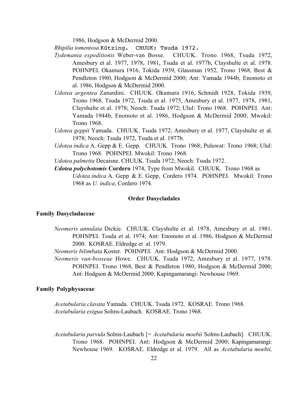1986, Hodgson & McDermid 2000.

*Rhipilia tomentosa* Kűtzing. CHUUK: Tsuda 1972.

- *Tydemania expeditionis* Weber-van Bosse. CHUUK. Trono 1968, Tsuda 1972, Amesbury et al. 1977, 1978, 1981, Tsuda et al. 1977b, Clayshulte et al. 1978. POHNPEI. Okamura 1916, Tokida 1939, Glassman 1952, Trono 1968, Best & Pendleton 1980, Hodgson & McDermid 2000; Ant: Yamada 1944b, Enomoto et al. 1986, Hodgson & McDermid 2000.
- *Udotea argentea* Zanardini. CHUUK. Okamura 1916, Schmidt 1928, Tokida 1939, Trono 1968, Tsuda 1972, Tsuda et al. 1975, Amesbury et al. 1977, 1978, 1981, Clayshulte et al. 1978; Neoch: Tsuda 1972; Ulul: Trono 1968. POHNPEI. Ant: Yamada 1944b, Enomoto et al. 1986, Hodgson & McDermid 2000; Mwokil: Trono 1968.
- *Udotea geppii* Yamada. CHUUK. Tsuda 1972, Amesbury et al. 1977, Clayshulte et al. 1978; Neoch: Tsuda 1972, Tsuda et al. 1977b.
- *Udotea indica* A. Gepp & E. Gepp. CHUUK. Trono 1968; Puluwat: Trono 1968; Ulul: Trono 1968. POHNPEI. Mwokil: Trono 1968.
- *Udotea palmetta* Decaisne. CHUUK. Tsuda 1972; Neoch: Tsuda 1972.
- *Udotea polychotomis* **Cordero** 1974, Type from Mwokil. CHUUK. Trono 1968 as *Udotea indica* A. Gepp & E. Gepp, Cordero 1974*.* POHNPEI. Mwokil: Trono 1968 as *U. indica*, Cordero 1974*.*

#### **Order Dasycladales**

#### **Family Dasycladaceae**

- *Neomeris annulata* Dickie. CHUUK. Clayshulte et al. 1978, Amesbury et al. 1981. POHNPEI. Tsuda et al. 1974; Ant: Enomoto et al. 1986, Hodgson & McDermid 2000. KOSRAE. Eldredge et al. 1979.
- *Neomeris bilimbata* Koster. POHNPEI. Ant: Hodgson & McDermid 2000.
- *Neomeris van-bosseae* Howe. CHUUK. Tsuda 1972, Amesbury et al. 1977, 1978. POHNPEI. Trono 1968, Best & Pendleton 1980, Hodgson & McDermid 2000; Ant: Hodgson & McDermid 2000; Kapingamarangi: Newhouse 1969.

#### **Family Polyphysaceae**

*Acetabularia clavata* Yamada. CHUUK. Tsuda 1972. KOSRAE. Trono 1968. *Acetabularia exigua* Solms-Laubach. KOSRAE. Trono 1968.

*Acetabularia parvula* Solms-Laubach [= *Acetabularia moebii* Solms-Laubach]. CHUUK. Trono 1968. POHNPEI. Ant: Hodgson & McDermid 2000; Kapingamarangi: Newhouse 1969. KOSRAE. Eldredge et al. 1979. All as *Acetabularia moebii,*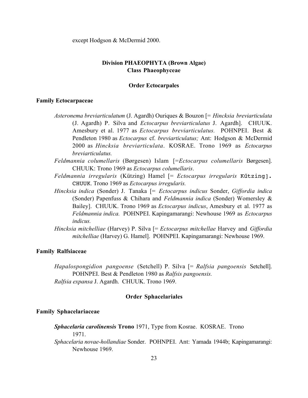except Hodgson & McDermid 2000.

# **Division PHAEOPHYTA (Brown Algae) Class Phaeophyceae**

# **Order Ectocarpales**

#### **Family Ectocarpaceae**

- *Asteronema breviarticulatum* (J. Agardh) Ouriques & Bouzon [= *Hincksia breviarticulata* (J. Agardh) P. Silva and *Ectocarpus breviarticulatus* J. Agardh]. CHUUK. Amesbury et al. 1977 as *Ectocarpus breviarticulatus.* POHNPEI. Best & Pendleton 1980 as *Ectocarpus* cf. *breviarticulatus;* Ant: Hodgson & McDermid 2000 as *Hincksia breviarticulata*. KOSRAE. Trono 1969 as *Ectocarpus breviarticulatus.*
- *Feldmannia columellaris* (Børgesen) Islam [=*Ectocarpus columellaris* Børgesen]. CHUUK: Trono 1969 as *Ectocarpus columellaris*.
- *Feldmannia irregularis* (Kützing) Hamel [= *Ectocarpus irregularis* Kűtzing]. CHUUK. Trono 1969 as *Ectocarpus irregularis.*
- *Hincksia indica* (Sonder) J. Tanaka [= *Ectocarpus indicus* Sonder, *Giffordia indica* (Sonder) Papenfuss & Chihara and *Feldmannia indica* (Sonder) Womersley & Bailey]. CHUUK. Trono 1969 as *Ectocarpus indicus*, Amesbury et al. 1977 as *Feldmannia indica.* POHNPEI. Kapingamarangi: Newhouse 1969 as *Ectocarpus indicus.*
- *Hincksia mitchelliae* (Harvey) P. Silva [= *Ectocarpus mitchellae* Harvey and *Giffordia mitchelliae* (Harvey) G. Hamel]. POHNPEI. Kapingamarangi: Newhouse 1969.

# **Family Ralfsiaceae**

*Hapalospongidion pangoense* (Setchell) P. Silva [= *Ralfsia pangoensis* Setchell]. POHNPEI. Best & Pendleton 1980 as *Ralfsis pangoensis. Ralfsia expansa* J. Agardh. CHUUK. Trono 1969.

# **Order Sphacelariales**

#### **Family Sphacelariaceae**

*Sphacelaria carolinensis* **Trono** 1971, Type from Kosrae. KOSRAE. Trono 1971.

*Sphacelaria novae-hollandiae* Sonder. POHNPEI. Ant: Yamada 1944b; Kapingamarangi: Newhouse 1969.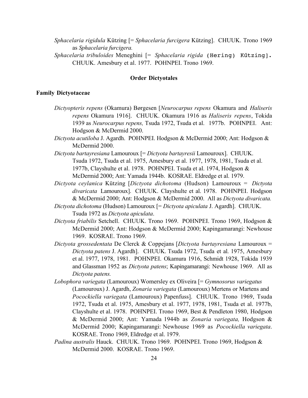*Sphacelaria rigidula* Kützing [= *Sphacelaria furcigera* Kützing]. CHUUK. Trono 1969 as *Sphacelaria furcigera.*

*Sphacelaria tribuloides* Meneghini [= *Sphacelaria rigida* (Hering) Kűtzing]. CHUUK. Amesbury et al. 1977. POHNPEI. Trono 1969.

#### **Order Dictyotales**

# **Family Dictyotaceae**

- *Dictyopteris repens* (Okamura) Børgesen [*Neurocarpus repens* Okamura and *Haliseris repens* Okamura 1916]. CHUUK. Okamura 1916 as *Haliseris repens*, Tokida 1939 as *Neurocarpus repens,* Tsuda 1972, Tsuda et al. 1977b. POHNPEI. Ant: Hodgson & McDermid 2000.
- *Dictyota acutiloba* J. Agardh. POHNPEI. Hodgson & McDermid 2000; Ant: Hodgson & McDermid 2000.
- *Dictyota bartayresiana* Lamouroux [= *Dictyota bartayresii* Lamouroux]. CHUUK. Tsuda 1972, Tsuda et al. 1975, Amesbury et al. 1977, 1978, 1981, Tsuda et al. 1977b, Clayshulte et al. 1978. POHNPEI. Tsuda et al. 1974, Hodgson & McDermid 2000; Ant: Yamada 1944b. KOSRAE. Eldredge et al. 1979.
- *Dictyota ceylanica* Kützing [*Dictyota dichotoma* (Hudson) Lamouroux = *Dictyota divaricata* Lamouroux]. CHUUK. Clayshulte et al. 1978. POHNPEI. Hodgson & McDermid 2000; Ant: Hodgson & McDermid 2000. All as *Dictyota divaricata.*
- *Dictyota dichotoma* (Hudson) Lamouroux [= *Dictyota apiculata* J. Agardh]. CHUUK. Tsuda 1972 as *Dictyota apiculata*.
- *Dictyota friabilis* Setchell. CHUUK. Trono 1969. POHNPEI. Trono 1969, Hodgson & McDermid 2000; Ant: Hodgson & McDermid 2000; Kapingamarangi: Newhouse 1969. KOSRAE. Trono 1969.
- *Dictyota grossedentata* De Clerck & Coppejans [*Dictyota bartayresiana* Lamouroux = *Dictyota patens* J. Agardh]. CHUUK. Tsuda 1972, Tsuda et al. 1975, Amesbury et al. 1977, 1978, 1981. POHNPEI. Okamura 1916, Schmidt 1928, Tokida 1939 and Glassman 1952 as *Dictyota patens*; Kapingamarangi: Newhouse 1969. All as *Dictyota patens.*
- *Lobophora variegata* (Lamouroux) Womersley ex Oliveira [= *Gymnosorus variegatus* (Lamouroux) J. Agardh, *Zonaria variegata* (Lamouroux) Mertens or Martens and *Pocockiella variegata* (Lamouroux) Papenfuss]. CHUUK. Trono 1969, Tsuda 1972, Tsuda et al. 1975, Amesbury et al. 1977, 1978, 1981, Tsuda et al. 1977b, Clayshulte et al. 1978. POHNPEI. Trono 1969, Best & Pendleton 1980, Hodgson & McDermid 2000; Ant: Yamada 1944b as *Zonaria variegata,* Hodgson & McDermid 2000; Kapingamarangi: Newhouse 1969 as *Pocockiella variegata*. KOSRAE. Trono 1969, Eldredge et al. 1979.
- *Padina australis* Hauck. CHUUK. Trono 1969. POHNPEI. Trono 1969, Hodgson & McDermid 2000. KOSRAE. Trono 1969.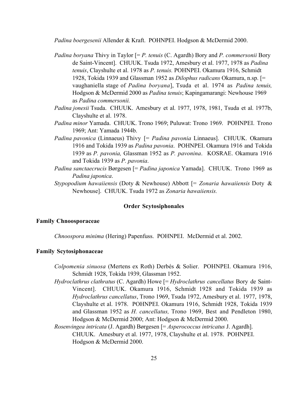*Padina boergesenii* Allender & Kraft. POHNPEI. Hodgson & McDermid 2000.

- *Padina boryana* Thivy in Taylor [= *P. tenuis* (C. Agardh) Bory and *P. commersonii* Bory de Saint-Vincent]. CHUUK. Tsuda 1972, Amesbury et al. 1977, 1978 as *Padina tenuis*, Clayshulte et al. 1978 as *P. tenuis.* POHNPEI. Okamura 1916, Schmidt 1928, Tokida 1939 and Glassman 1952 as *Dilophus radicans* Okamura, n.sp. [= vaughaniella stage of *Padina boryana*], Tsuda et al. 1974 as *Padina tenuis,* Hodgson & McDermid 2000 as *Padina tenuis*; Kapingamarangi: Newhouse 1969 as *Padina commersonii.*
- *Padina jonesii* Tsuda. CHUUK. Amesbury et al. 1977, 1978, 1981, Tsuda et al. 1977b, Clayshulte et al. 1978.
- *Padina minor* Yamada. CHUUK. Trono 1969; Puluwat: Trono 1969. POHNPEI. Trono 1969; Ant: Yamada 1944b.
- *Padina pavonica* (Linnaeus) Thivy [= *Padina pavonia* Linnaeus]. CHUUK. Okamura 1916 and Tokida 1939 as *Padina pavonia*. POHNPEI. Okamura 1916 and Tokida 1939 as *P. pavonia,* Glassman 1952 as *P. pavonina*. KOSRAE. Okamura 1916 and Tokida 1939 as *P. pavonia*.
- *Padina sanctaecrucis* Børgesen [= *Padina japonica* Yamada]. CHUUK. Trono 1969 as *Padina japonica*.
- *Stypopodium hawaiiensis* (Doty & Newhouse) Abbott [= *Zonaria hawaiiensis* Doty & Newhouse]. CHUUK. Tsuda 1972 as *Zonaria hawaiiensis.*

# **Order Scytosiphonales**

# **Family Chnoosporaceae**

*Chnoospora minima* (Hering) Papenfuss. POHNPEI. McDermid et al. 2002.

# **Family Scytosiphonaceae**

- *Colpomenia sinuosa* (Mertens ex Roth) Derbés & Solier. POHNPEI. Okamura 1916, Schmidt 1928, Tokida 1939, Glassman 1952.
- *Hydroclathrus clathratus* (C. Agardh) Howe [= *Hydroclathrus cancellatus* Bory de Saint-Vincent]. CHUUK. Okamura 1916, Schmidt 1928 and Tokida 1939 as *Hydroclathrus cancellatus*, Trono 1969, Tsuda 1972, Amesbury et al. 1977, 1978, Clayshulte et al. 1978. POHNPEI. Okamura 1916, Schmidt 1928, Tokida 1939 and Glassman 1952 as *H. cancellatus,* Trono 1969, Best and Pendleton 1980, Hodgson & McDermid 2000; Ant: Hodgson & McDermid 2000.
- *Rosenvingea intricata* (J. Agardh) Børgesen [= *Asperococcus intricatus* J. Agardh]. CHUUK. Amesbury et al. 1977, 1978, Clayshulte et al. 1978. POHNPEI. Hodgson & McDermid 2000.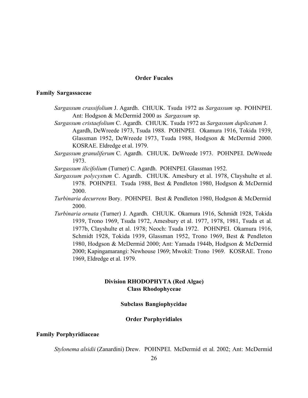# **Order Fucales**

#### **Family Sargassaceae**

*Sargassum crassifolium* J. Agardh. CHUUK. Tsuda 1972 as *Sargassum* sp. POHNPEI. Ant: Hodgson & McDermid 2000 as *Sargassum* sp.

*Sargassum cristaefolium* C. Agardh. CHUUK. Tsuda 1972 as *Sargassum duplicatum* J. Agardh, DeWreede 1973, Tsuda 1988. POHNPEI. Okamura 1916, Tokida 1939, Glassman 1952, DeWreede 1973, Tsuda 1988, Hodgson & McDermid 2000. KOSRAE. Eldredge et al. 1979.

*Sargassum granuliferum* C. Agardh. CHUUK. DeWreede 1973. POHNPEI. DeWreede 1973.

*Sargassum ilicifolium* (Turner) C. Agardh. POHNPEI. Glassman 1952.

- *Sargassum polycystum* C. Agardh. CHUUK. Amesbury et al. 1978, Clayshulte et al. 1978. POHNPEI. Tsuda 1988, Best & Pendleton 1980, Hodgson & McDermid 2000.
- *Turbinaria decurrens* Bory. POHNPEI. Best & Pendleton 1980, Hodgson & McDermid 2000.
- *Turbinaria ornata* (Turner) J. Agardh. CHUUK. Okamura 1916, Schmidt 1928, Tokida 1939, Trono 1969, Tsuda 1972, Amesbury et al. 1977, 1978, 1981, Tsuda et al. 1977b, Clayshulte et al. 1978; Neoch: Tsuda 1972. POHNPEI. Okamura 1916, Schmidt 1928, Tokida 1939, Glassman 1952, Trono 1969, Best & Pendleton 1980, Hodgson & McDermid 2000; Ant: Yamada 1944b, Hodgson & McDermid 2000; Kapingamarangi: Newhouse 1969; Mwokil: Trono 1969. KOSRAE. Trono 1969, Eldredge et al. 1979.

# **Division RHODOPHYTA (Red Algae) Class Rhodophyceae**

# **Subclass Bangiophycidae**

# **Order Porphyridiales**

# **Family Porphyridiaceae**

*Stylonema alsidii* (Zanardini) Drew. POHNPEI. McDermid et al. 2002; Ant: McDermid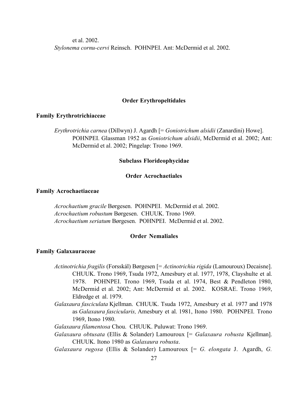et al. 2002. *Stylonema cornu-cervi* Reinsch. POHNPEI. Ant: McDermid et al. 2002.

# **Order Erythropeltidales**

# **Family Erythrotrichiaceae**

*Erythrotrichia carnea* (Dillwyn) J. Agardh [= *Goniotrichum alsidii* (Zanardini) Howe]. POHNPEI. Glassman 1952 as *Goniotrichum alsidii*, McDermid et al. 2002; Ant: McDermid et al. 2002; Pingelap: Trono 1969.

#### **Subclass Florideophycidae**

# **Order Acrochaetiales**

# **Family Acrochaetiaceae**

*Acrochaetium gracile* Børgesen. POHNPEI. McDermid et al. 2002. *Acrochaetium robustum* Børgesen. CHUUK. Trono 1969. *Acrochaetium seriatum* Børgesen. POHNPEI. McDermid et al. 2002.

# **Order Nemaliales**

#### **Family Galaxauraceae**

- *Actinotrichia fragilis* (Forsskál) Børgesen [= *Actinotrichia rigida* (Lamouroux) Decaisne]. CHUUK. Trono 1969, Tsuda 1972, Amesbury et al. 1977, 1978, Clayshulte et al. 1978. POHNPEI. Trono 1969, Tsuda et al. 1974, Best & Pendleton 1980, McDermid et al. 2002; Ant: McDermid et al. 2002. KOSRAE. Trono 1969, Eldredge et al. 1979.
- *Galaxaura fasciculata* Kjellman. CHUUK. Tsuda 1972, Amesbury et al. 1977 and 1978 as *Galaxaura fascicularis,* Amesbury et al. 1981, Itono 1980. POHNPEI. Trono 1969, Itono 1980.

*Galaxaura filamentosa* Chou. CHUUK. Puluwat: Trono 1969.

- *Galaxaura obtusata* (Ellis & Solander) Lamouroux [= *Galaxaura robusta* Kjellman]. CHUUK. Itono 1980 as *Galaxaura robusta*.
- *Galaxaura rugosa* (Ellis & Solander) Lamouroux [= *G. elongata* J. Agardh, *G.*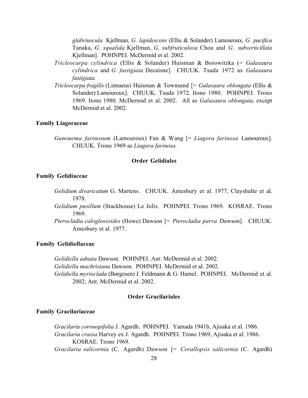*glabriuscula* Kjellman, *G. lapidescens* (Ellis & Solander) Lamouroux, *G. pacifica* Tanaka, *G. squalida* Kjellman, *G. subfruticulosa* Chou and *G. subverticillata* Kjellman]. POHNPEI. McDermid et al. 2002.

- *Tricleocarpa cylindrica* (Ellis & Solander) Huisman & Borowitzka (= *Galaxaura cylindrica* and *G. fastigiata* Decaisne]. CHUUK. Tsuda 1972 as *Galaxaura fastigiata.*
- *Tricleocarpa fragilis* (Linnaeus) Huisman & Townsend [= *Galaxaura oblongata* (Ellis & Solander) Lamouroux]. CHUUK. Tsuda 1972*,* Itono 1980. POHNPEI. Trono 1969*,* Itono 1980*,* McDermid et al. 2002. All as *Galaxaura oblongata*, except McDermid et al. 2002.

# **Family Liagoraceae**

*Ganonema farinosum* (Lamouroux) Fan & Wang [= *Liagora farinosa* Lamouroux]. CHUUK. Trono 1969 as *Liagora farinosa.*

#### **Order Gelidiales**

#### **Family Gelidiaceae**

- *Gelidium divaricatum* G. Martens. CHUUK. Amesbury et al. 1977, Clayshulte et al. 1978.
- *Gelidium pusillum* (Stackhouse) Le Jolis. POHNPEI. Trono 1969. KOSRAE. Trono 1969.
- *Pterocladia caloglossoides* (Howe) Dawson [= *Pterocladia parva* Dawson]. CHUUK. Amesbury et al. 1977.

### **Family Gelidiellaceae**

*Gelidiella adnata* Dawson. POHNPEI. Ant: McDermid et al. 2002. *Gelidiella machrisiana* Dawson. POHNPEI. McDermid et al. 2002. *Gelidiella myrioclada* (Børgesen) J. Feldmann & G. Hamel. POHNPEI. McDermid et al. 2002; Ant: McDermid et al. 2002.

#### **Order Gracilariales**

#### **Family Gracilariaceae**

*Gracilaria coronopifolia* J. Agardh. POHNPEI. Yamada 1941b, Ajisaka et al. 1986. *Gracilaria crassa* Harvey ex J. Agardh. POHNPEI. Trono 1969, Ajisaka et al. 1986. KOSRAE. Trono 1969. *Gracilaria salicornia* (C. Agardh) Dawson [= *Corallopsis salicornia* (C. Agardh)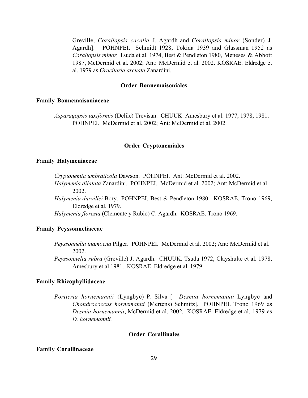Greville, *Corallopsis cacalia* J. Agardh and *Corallopsis minor* (Sonder) J. Agardh]. POHNPEI. Schmidt 1928, Tokida 1939 and Glassman 1952 as *Corallopsis minor,* Tsuda et al. 1974, Best & Pendleton 1980, Meneses & Abbott 1987, McDermid et al. 2002; Ant: McDermid et al. 2002. KOSRAE. Eldredge et al. 1979 as *Gracilaria arcuata* Zanardini.

### **Order Bonnemaisoniales**

# **Family Bonnemaisoniaceae**

*Asparagopsis taxiformis* (Delile) Trevisan. CHUUK. Amesbury et al. 1977, 1978, 1981. POHNPEI. McDermid et al. 2002; Ant: McDermid et al. 2002.

#### **Order Cryptonemiales**

# **Family Halymeniaceae**

*Cryptonemia umbraticola* Dawson. POHNPEI. Ant: McDermid et al. 2002.

- *Halymenia dilatata* Zanardini.POHNPEI. McDermid et al. 2002; Ant: McDermid et al. 2002.
- *Halymenia durvillei* Bory. POHNPEI. Best & Pendleton 1980. KOSRAE. Trono 1969, Eldredge et al. 1979.

*Halymenia floresia* (Clemente y Rubio) C. Agardh. KOSRAE. Trono 1969.

# **Family Peyssonneliaceae**

- *Peyssonnelia inamoena* Pilger. POHNPEI. McDermid et al. 2002; Ant: McDermid et al. 2002.
- *Peyssonnelia rubra* (Greville) J. Agardh. CHUUK. Tsuda 1972, Clayshulte et al. 1978, Amesbury et al 1981. KOSRAE. Eldredge et al. 1979.

# **Family Rhizophyllidaceae**

*Portieria hornemannii* (Lyngbye) P. Silva [= *Desmia hornemannii* Lyngbye and *Chondrococcus hornemanni* (Mertens) Schmitz]. POHNPEI. Trono 1969 as *Desmia hornemannii*, McDermid et al. 2002*.* KOSRAE. Eldredge et al. 1979 as *D. hornemannii.*

#### **Order Corallinales**

# **Family Corallinaceae**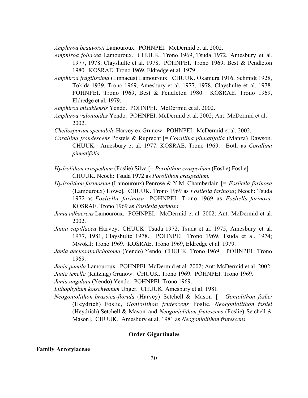*Amphiroa beauvoisii* Lamouroux. POHNPEI. McDermid et al. 2002.

*Amphiroa foliacea* Lamouroux. CHUUK. Trono 1969, Tsuda 1972, Amesbury et al. 1977, 1978, Clayshulte et al. 1978. POHNPEI. Trono 1969, Best & Pendleton 1980. KOSRAE. Trono 1969, Eldredge et al. 1979.

- *Amphiroa fragilissima* (Linnaeus) Lamouroux. CHUUK. Okamura 1916, Schmidt 1928, Tokida 1939, Trono 1969, Amesbury et al. 1977, 1978, Clayshulte et al. 1978. POHNPEI. Trono 1969, Best & Pendleton 1980. KOSRAE. Trono 1969, Eldredge et al. 1979.
- *Amphiroa misakiensis* Yendo. POHNPEI. McDermid et al. 2002.
- *Amphiroa valonioides* Yendo. POHNPEI. McDermid et al. 2002; Ant: McDermid et al. 2002.
- *Cheilosporum spectabile* Harvey ex Grunow. POHNPEI. McDermid et al. 2002.
- *Corallina frondescens* Postels & Ruprecht [= *Corallina pinnatifolia* (Manza) Dawson. CHUUK. Amesbury et al. 1977. KOSRAE. Trono 1969. Both as *Corallina pinnatifolia.*

*Hydrolithon craspedium* (Foslie) Silva [= *Porolithon craspedium* (Foslie) Foslie]. CHUUK. Neoch: Tsuda 1972 as *Porolithon craspedium.*

- *Hydrolithon farinosum* (Lamouroux) Penrose & Y.M. Chamberlain [= *Fosliella farinosa* (Lamouroux) Howe]. CHUUK. Trono 1969 as *Fosliella farinosa*; Neoch: Tsuda 1972 as *Fosliella farinosa*. POHNPEI. Trono 1969 as *Fosliella farinosa*. KOSRAE. Trono 1969 as *Fosliella farinosa.*
- *Jania adhaerens* Lamouroux. POHNPEI. McDermid et al. 2002; Ant: McDermid et al. 2002.
- *Jania capillacea* Harvey.CHUUK. Tsuda 1972, Tsuda et al. 1975, Amesbury et al. 1977, 1981, Clayshulte 1978. POHNPEI. Trono 1969, Tsuda et al. 1974; Mwokil: Trono 1969. KOSRAE. Trono 1969, Eldredge et al. 1979.
- *Jania decussatodichotoma* (Yendo) Yendo. CHUUK. Trono 1969. POHNPEI. Trono 1969.
- *Jania pumila* Lamouroux. POHNPEI. McDermid et al. 2002; Ant: McDermid et al. 2002. *Jania tenella* (Kützing) Grunow. CHUUK. Trono 1969. POHNPEI. Trono 1969.
- *Jania ungulata* (Yendo) Yendo. POHNPEI. Trono 1969.
- *Lithophyllum kotschyanum* Unger. CHUUK. Amesbury et al. 1981.
- *Neogoniolithon brassica-florida* (Harvey) Setchell & Mason [= *Goniolithon fosliei* (Heydrich) Foslie, *Goniolithon frutescens* Foslie, *Neogoniolithon fosliei* (Heydrich) Setchell & Mason and *Neogoniolithon frutescens* (Foslie) Setchell & Mason]. CHUUK. Amesbury et al. 1981 as *Neogoniolithon frutescens.*

# **Order Gigartinales**

# **Family Acrotylaceae**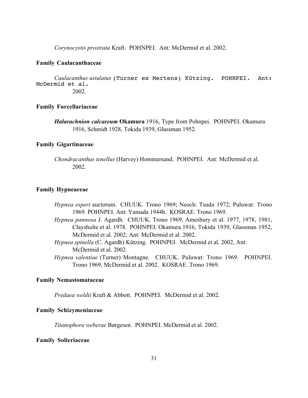*Corynocystis prostrata* Kraft. POHNPEI. Ant: McDermid et al. 2002.

#### **Family Caulacanthaceae**

*Caulacanthus ustulatus* (Turner ex Mertens) Kűtzing. POHNPEI. Ant: McDermid et al. 2002.

#### **Family Furcellariaceae**

*Halarachnion calcareum* **Okamura** 1916, Type from Pohnpei. POHNPEI. Okamura 1916, Schmidt 1928, Tokida 1939, Glassman 1952.

### **Family Gigartinaceae**

*Chondracanthus tenellus* (Harvey) Hommersand. POHNPEI. Ant: McDermid et al. 2002.

# **Family Hypneaceae**

- *Hypnea esperi* auctorum. CHUUK. Trono 1969; Neoch: Tsuda 1972; Puluwat: Trono 1969. POHNPEI. Ant: Yamada 1944b. KOSRAE. Trono 1969.
- *Hypnea pannosa* J. Agardh. CHUUK. Trono 1969, Amesbury et al. 1977, 1978, 1981, Clayshulte et al. 1978. POHNPEI. Okamura 1916, Tokida 1939, Glassman 1952, McDermid et al. 2002; Ant: McDermid et al. 2002.

*Hypnea spinella* (C. Agardh) Kützing. POHNPEI. McDermid et al. 2002, Ant: McDermid et al. 2002.

*Hypnea valentiae* (Turner) Montagne. CHUUK. Puluwat: Trono 1969. POHNPEI. Trono 1969, McDermid et al. 2002. KOSRAE. Trono 1969.

# **Family Nemastomataceae**

*Predaea weldii* Kraft & Abbott.POHNPEI. McDermid et al. 2002.

# **Family Schizymeniaceae**

*Titanophora weberae* Børgesen. POHNPEI. McDermid et al. 2002.

#### **Family Solieriaceae**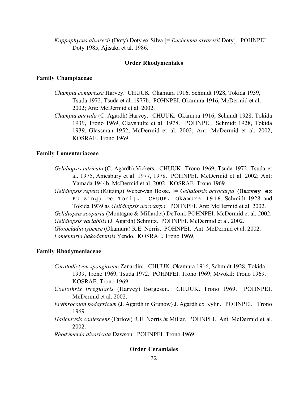*Kappaphycus alvarezii* (Doty) Doty ex Silva [= *Eucheuma alvarezii* Doty]. POHNPEI. Doty 1985, Ajisaka et al. 1986.

#### **Order Rhodymeniales**

#### **Family Champiaceae**

- *Champia compressa* Harvey. CHUUK. Okamura 1916, Schmidt 1928, Tokida 1939, Tsuda 1972, Tsuda et al. 1977b. POHNPEI. Okamura 1916, McDermid et al. 2002; Ant: McDermid et al. 2002.
- *Champia parvula* (C. Agardh) Harvey. CHUUK. Okamura 1916, Schmidt 1928, Tokida 1939, Trono 1969, Clayshulte et al. 1978. POHNPEI. Schmidt 1928, Tokida 1939, Glassman 1952, McDermid et al. 2002; Ant: McDermid et al. 2002; KOSRAE. Trono 1969.

# **Family Lomentariaceae**

- *Gelidiopsis intricata* (C. Agardh) Vickers. CHUUK. Trono 1969, Tsuda 1972, Tsuda et al. 1975, Amesbury et al. 1977, 1978. POHNPEI. McDermid et al. 2002; Ant: Yamada 1944b, McDermid et al. 2002. KOSRAE. Trono 1969.
- *Gelidiopsis repens* (Kützing) Weber-van Bosse. [= *Gelidiopsis acrocarpa* (Harvey ex Kűtzing) De Toni]. CHUUK. Okamura 1916, Schmidt 1928 and Tokida 1939 as *Gelidiopsis acrocarpa.* POHNPEI. Ant: McDermid et al. 2002. *Gelidiopsis scoparia* (Montagne & Millardet) DeToni. POHNPEI. McDermid et al. 2002.

*Gelidiopsis variabilis* (J. Agardh) Schmitz. POHNPEI. McDermid et al. 2002.

*Gloiocladia iyoense* (Okamura) R.E. Norris. POHNPEI. Ant: McDermid et al. 2002. *Lomentaria hakodatensis* Yendo. KOSRAE. Trono 1969.

# **Family Rhodymeniaceae**

- *Ceratodictyon spongiosum* Zanardini. CHUUK. Okamura 1916, Schmidt 1928, Tokida 1939, Trono 1969, Tsuda 1972. POHNPEI. Trono 1969; Mwokil: Trono 1969. KOSRAE. Trono 1969.
- *Coelothrix irregularis* (Harvey) Børgesen. CHUUK. Trono 1969. POHNPEI. McDermid et al. 2002.
- *Erythrocolon podagricum* (J. Agardh in Grunow) J. Agardh ex Kylin. POHNPEI. Trono 1969.
- *Halichrysis coalescens* (Farlow) R.E. Norris & Millar. POHNPEI. Ant: McDermid et al. 2002.

*Rhodymenia divaricata* Dawson. POHNPEI. Trono 1969.

# **Order Ceramiales**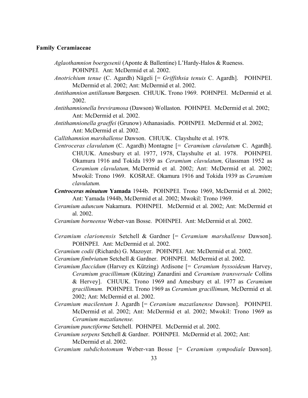#### **Family Ceramiaceae**

- *Aglaothamnion boergesenii* (Aponte & Ballentine) L'Hardy-Halos & Rueness. POHNPEI. Ant: McDermid et al. 2002.
- *Anotrichium tenue* (C. Agardh) Nägeli [= *Griffithsia tenuis* C. Agardh]. POHNPEI. McDermid et al. 2002; Ant: McDermid et al. 2002.
- *Antithamnion antillanum* Børgesen. CHUUK. Trono 1969. POHNPEI. McDermid et al. 2002.
- *Antithamnionella breviramosa* (Dawson) Wollaston. POHNPEI. McDermid et al. 2002; Ant: McDermid et al. 2002.
- *Antithamnionella graeffei* (Grunow) Athanasiadis. POHNPEI. McDermid et al. 2002; Ant: McDermid et al. 2002.

*Callithamnion marshallense* Dawson. CHUUK. Clayshulte et al. 1978.

- *Centroceras clavulatum* (C. Agardh) Montagne [= *Ceramium clavulatum* C. Agardh]. CHUUK. Amesbury et al. 1977, 1978, Clayshulte et al. 1978. POHNPEI. Okamura 1916 and Tokida 1939 as *Ceramium clavulatum,* Glassman 1952 as *Ceramium clavulatum,* McDermid et al. 2002; Ant: McDermid et al. 2002; Mwokil: Trono 1969. KOSRAE. Okamura 1916 and Tokida 1939 as *Ceramium clavulatum.*
- *Centroceras minutum* **Yamada** 1944b. POHNPEI. Trono 1969, McDermid et al. 2002; Ant: Yamada 1944b, McDermid et al. 2002; Mwokil: Trono 1969.
- *Ceramium aduncum* Nakamura. POHNPEI. McDermid et al. 2002; Ant: McDermid et al. 2002.
- *Ceramium borneense* Weber-van Bosse. POHNPEI. Ant: McDermid et al. 2002.
- *Ceramium clarionensis* Setchell & Gardner [= *Ceramium marshallense* Dawson]. POHNPEI. Ant: McDermid et al. 2002.
- *Ceramium codii* (Richards) G. Mazoyer. POHNPEI. Ant: McDermid et al. 2002.
- *Ceramium fimbriatum* Setchell & Gardner. POHNPEI. McDermid et al. 2002.
- *Ceramium flaccidum* (Harvey ex Kützing) Ardisone [= *Ceramium byssoideum* Harvey, *Ceramium gracillimum* (Kützing) Zanardini and *Ceramium transversale* Collins & Hervey]. CHUUK. Trono 1969 and Amesbury et al. 1977 as *Ceramium gracillimum.* POHNPEI. Trono 1969 as *Ceramium gracillimum,* McDermid et al. 2002; Ant: McDermid et al. 2002.
- *Ceramium macilentum* J. Agardh [= *Ceramium mazatlanense* Dawson]. POHNPEI. McDermid et al. 2002; Ant: McDermid et al. 2002; Mwokil: Trono 1969 as *Ceramium mazatlanense.*

*Ceramium punctiforme* Setchell. POHNPEI. McDermid et al. 2002.

- *Ceramium serpens* Setchell & Gardner. POHNPEI. McDermid et al. 2002; Ant: McDermid et al. 2002.
- *Ceramium subdichotomum* Weber-van Bosse [= *Ceramium sympodiale* Dawson].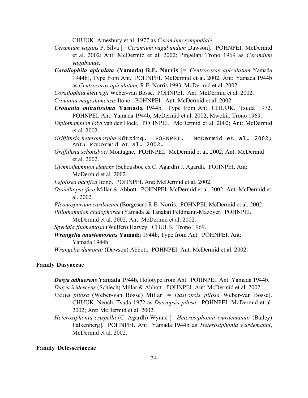CHUUK. Amesbury et al. 1977 as *Ceramium sympodiale.*

- *Ceramium vagans* P. Silva [= *Ceramium vagabundum* Dawson]. POHNPEI. McDermid et al. 2002; Ant: McDermid et al. 2002; Pingelap: Trono 1969 as *Ceramium vagabunde.*
- *Corallophila apiculata* **(Yamada) R.E. Norris** [= *Centroceras apiculatum* Yamada 1944b], Type from Ant. POHNPEI. McDermid et al. 2002; Ant: Yamada 1944b as *Centroceras apiculatum,* R.E. Norris 1993, McDermid et al. 2002.
- *Corallophila kleiwegii* Weber-van Bosse. POHNPEI. Ant: McDermid et al. 2002.

*Crouania mageshimensis* Itono. POHNPEI. Ant: McDermid et al. 2002.

- *Crouania minutissima* **Yamada** 1944b. Type from Ant. CHUUK. Tsuda 1972. POHNPEI. Ant: Yamada 1944b, McDermid et al. 2002; Mwokil: Trono 1969.
- *Diplothamnion jolyi* van den Hoek. POHNPEI. McDermid et al. 2002; Ant: McDermid et al. 2002.
- *Griffithsia heteromorpha* Kűtzing. POHNPEI. McDermid et al. 2002; Ant: McDermid et al. 2002.
- *Griffithsia schousboei* Montagne. POHNPEI. McDermid et al. 2002; Ant: McDermid et al. 2002.
- *Gymnothamnion elegans* (Schousboe ex C. Agardh) J. Agardh. POHNPEI. Ant: McDermid et al. 2002.
- *Lejolisea pacifica* Itono. POHNPEI. Ant: McDermid et al. 2002.
- *Ossiella pacifica* Millar & Abbott. POHNPEI. McDermid et al. 2002; Ant: McDermid et al. 2002.
- *Pleonosporium caribaeum* (Børgesen) R.E. Norris. POHNPEI. McDermid et al. 2002.
- *Ptilothamnion cladophorae* (Yamada & Tanaka) Feldmann-Mazoyer. POHNPEI.

McDermid et al. 2002; Ant: McDermid et al. 2002.

- *Spyridia filamentosa* (Wulfen) Harvey. CHUUK. Trono 1969.
- *Wrangelia anastomosans* **Yamada** 1944b, Type from Ant. POHNPEI. Ant: Yamada 1944b.

*Wrangelia dumontii* (Dawson) Abbott. POHNPEI. Ant: McDermid et al. 2002.

# **Family Dasyaceae**

- *Dasya adhaerens* **Yamada** 1944b, Holotype from Ant. POHNPEI. Ant: Yamada 1944b. *Dasya iridescens* (Schlech) Millar & Abbott. POHNPEI. Ant: McDermid et al. 2002.
- *Dasya pilosa* (Weber-van Bosse) Millar [= *Dasyopsis pilosa* Weber-van Bosse]. CHUUK. Neoch: Tsuda 1972 as *Dasyopsis pilosa.* POHNPEI. McDermid et al. 2002; Ant: McDermid et al. 2002.
- *Heterosiphonia crispella* (C. Agardh) Wynne [= *Heterosiphonia wurdemannii* (Bailey) Falkenberg]. POHNPEI. Ant: Yamada 1944b as *Heterosiphonia wurdemanni*, McDermid et al. 2002.

#### **Family Delesseriaceae**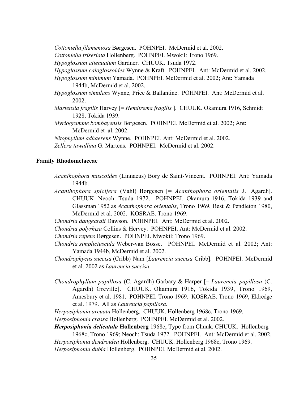*Cottoniella filamentosa* Børgesen. POHNPEI. McDermid et al. 2002.

*Cottoniella triseriata* Hollenberg. POHNPEI. Mwokil: Trono 1969.

*Hypoglossum attenuatum* Gardner. CHUUK. Tsuda 1972.

*Hypoglossum caloglossoides* Wynne & Kraft. POHNPEI. Ant: McDermid et al. 2002.

- *Hypoglossum minimum* Yamada. POHNPEI. McDermid et al. 2002; Ant: Yamada 1944b, McDermid et al. 2002.
- *Hypoglossum simulans* Wynne, Price & Ballantine. POHNPEI. Ant: McDermid et al. 2002.
- *Martensia fragilis* Harvey [= *Hemitrema fragilis* ]. CHUUK. Okamura 1916, Schmidt 1928, Tokida 1939.
- *Myriogramme bombayensis* Børgesen. POHNPEI. McDermid et al. 2002; Ant: McDermid et al. 2002.

*Nitophyllum adhaerens* Wynne. POHNPEI. Ant: McDermid et al. 2002.

*Zellera tawallina* G. Martens. POHNPEI. McDermid et al. 2002.

# **Family Rhodomelaceae**

- *Acanthophora muscoides* (Linnaeus) Bory de Saint-Vincent. POHNPEI. Ant: Yamada 1944b.
- *Acanthophora spicifera* (Vahl) Børgesen [= *Acanthophora orientalis* J. Agardh]. CHUUK. Neoch: Tsuda 1972. POHNPEI. Okamura 1916, Tokida 1939 and Glassman 1952 as *Acanthophora orientalis*, Trono 1969, Best & Pendleton 1980, McDermid et al. 2002. KOSRAE. Trono 1969.

*Chondria dangeardii* Dawson. POHNPEI. Ant: McDermid et al. 2002.

*Chondria polyrhiza* Collins & Hervey.POHNPEI. Ant: McDermid et al. 2002.

*Chondria repens* Børgesen. POHNPEI. Mwokil: Trono 1969.

- *Chondria simpliciuscula* Weber-van Bosse. POHNPEI. McDermid et al. 2002; Ant: Yamada 1944b, McDermid et al. 2002.
- *Chondrophycus succisa* (Cribb) Nam [*Laurencia succisa* Cribb]. POHNPEI. McDermid et al. 2002 as *Laurencia succisa.*
- *Chondrophyllum papillosa* (C. Agardh) Garbary & Harper [= *Laurencia papillosa* (C. Agardh) Greville]. CHUUK. Okamura 1916, Tokida 1939, Trono 1969, Amesbury et al. 1981. POHNPEI. Trono 1969.KOSRAE. Trono 1969, Eldredge et al. 1979. All as *Laurencia papillosa.*

*Herposiphonia arcuata* Hollenberg. CHUUK. Hollenberg 1968c, Trono 1969. *Herposiphonia crassa* Hollenberg. POHNPEI. McDermid et al. 2002.

*Herposiphonia delicatula* **Hollenberg** 1968c, Type from Chuuk. CHUUK. Hollenberg 1968c, Trono 1969; Neoch: Tsuda 1972. POHNPEI. Ant: McDermid et al. 2002. *Herposiphonia dendroidea* Hollenberg. CHUUK. Hollenberg 1968c, Trono 1969. *Herposiphonia dubia* Hollenberg. POHNPEI. McDermid et al. 2002.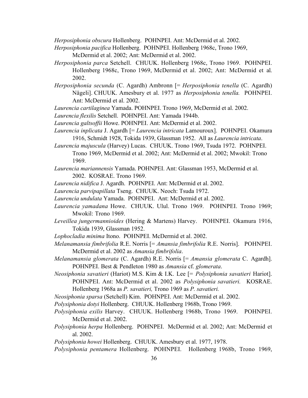*Herposiphonia obscura* Hollenberg. POHNPEI. Ant: McDermid et al. 2002.

- *Herposiphonia pacifica* Hollenberg. POHNPEI. Hollenberg 1968c, Trono 1969,
	- McDermid et al. 2002; Ant: McDermid et al. 2002.
- *Herposiphonia parca* Setchell. CHUUK. Hollenberg 1968c, Trono 1969. POHNPEI. Hollenberg 1968c, Trono 1969, McDermid et al. 2002; Ant: McDermid et al. 2002.
- *Herposiphonia secunda* (C. Agardh) Ambronn [= *Herposiphonia tenella* (C. Agardh) Nägeli]. CHUUK. Amesbury et al. 1977 as *Herposiphonia tenella.* POHNPEI. Ant: McDermid et al. 2002.
- *Laurencia cartilaginea* Yamada. POHNPEI. Trono 1969, McDermid et al. 2002.
- *Laurencia flexilis* Setchell. POHNPEI. Ant: Yamada 1944b.

*Laurencia galtsoffii* Howe. POHNPEI. Ant: McDermid et al. 2002.

- *Laurencia inplicata* J. Agardh [= *Laurencia intricata* Lamouroux]. POHNPEI. Okamura 1916, Schmidt 1928, Tokida 1939, Glassman 1952. All as *Laurencia intricata*.
- *Laurencia majuscula* (Harvey) Lucas. CHUUK. Trono 1969, Tsuda 1972. POHNPEI. Trono 1969, McDermid et al. 2002; Ant: McDermid et al. 2002; Mwokil: Trono 1969.
- *Laurencia mariannensis* Yamada. POHNPEI. Ant: Glassman 1953, McDermid et al. 2002. KOSRAE. Trono 1969.
- *Laurencia nidifica* J. Agardh. POHNPEI. Ant: McDermid et al. 2002.
- *Laurencia parvipapillata* Tseng. CHUUK. Neoch: Tsuda 1972.
- *Laurencia undulata* Yamada. POHNPEI. Ant: McDermid et al. 2002.
- *Laurencia yamadana* Howe. CHUUK. Ulul. Trono 1969. POHNPEI. Trono 1969; Mwokil: Trono 1969.
- *Leveillea jungermannioides* (Hering & Martens) Harvey. POHNPEI. Okamura 1916, Tokida 1939, Glassman 1952.
- *Lophocladia minima* Itono. POHNPEI. McDermid et al. 2002.
- *Melanamansia fimbrifolia* R.E. Norris [= *Amansia fimbrifolia* R.E. Norris]. POHNPEI. McDermid et al. 2002 as *Amansia fimbrifolia*.
- *Melanamansia glomerata* (C. Agardh) R.E. Norris [= *Amansia glomerata* C. Agardh]. POHNPEI. Best & Pendleton 1980 as *Amansia* cf. *glomerata*.

*Neosiphonia savatieri* (Hariot) M.S. Kim & I.K. Lee [= *Polysiphonia savatieri* Hariot]. POHNPEI. Ant: McDermid et al. 2002 as *Polysiphonia savatieri.* KOSRAE. Hollenberg 1968a as *P. savatieri,* Trono 1969 as *P. savatieri.*

*Neosiphonia sparsa* (Setchell) Kim. POHNPEI. Ant: McDermid et al. 2002.

*Polysiphonia dotyi* Hollenberg. CHUUK. Hollenberg 1968b, Trono 1969.

- *Polysiphonia exilis* Harvey. CHUUK. Hollenberg 1968b, Trono 1969. POHNPEI. McDermid et al. 2002.
- *Polysiphonia herpa* Hollenberg. POHNPEI. McDermid et al. 2002; Ant: McDermid et al. 2002.

*Polysiphonia howei* Hollenberg. CHUUK. Amesbury et al. 1977, 1978.

*Polysiphonia pentamera* Hollenberg. POHNPEI. Hollenberg 1968b, Trono 1969,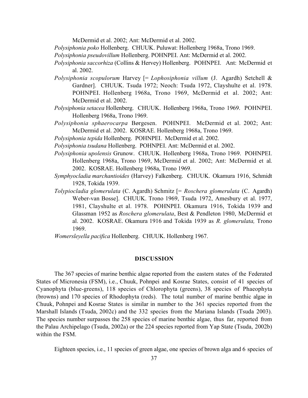McDermid et al. 2002; Ant: McDermid et al. 2002.

*Polysiphonia poko* Hollenberg. CHUUK. Puluwat: Hollenberg 1968a, Trono 1969.

*Polysiphonia pseudovillum* Hollenberg. POHNPEI. Ant: McDermid et al. 2002.

- *Polysiphonia saccorhiza* (Collins & Hervey) Hollenberg. POHNPEI. Ant: McDermid et al. 2002.
- *Polysiphonia scopulorum* Harvey [= *Lophosiphonia villum* (J. Agardh) Setchell & Gardner]. CHUUK. Tsuda 1972; Neoch: Tsuda 1972, Clayshulte et al. 1978. POHNPEI. Hollenberg 1968a, Trono 1969, McDermid et al. 2002; Ant: McDermid et al. 2002.
- *Polysiphonia setacea* Hollenberg. CHUUK. Hollenberg 1968a, Trono 1969. POHNPEI. Hollenberg 1968a, Trono 1969.
- *Polysiphonia sphaerocarpa* Børgesen. POHNPEI. McDermid et al. 2002; Ant: McDermid et al. 2002. KOSRAE. Hollenberg 1968a, Trono 1969.
- *Polysiphonia tepida* Hollenberg. POHNPEI. McDermid et al. 2002.
- *Polysiphonia tsudana* Hollenberg. POHNPEI. Ant: McDermid et al. 2002.
- *Polysiphonia upolensis* Grunow. CHUUK. Hollenberg 1968a, Trono 1969. POHNPEI. Hollenberg 1968a, Trono 1969, McDermid et al. 2002; Ant: McDermid et al. 2002. KOSRAE. Hollenberg 1968a, Trono 1969.
- *Symphyocladia marchantioides* (Harvey) Falkenberg. CHUUK. Okamura 1916, Schmidt 1928, Tokida 1939.
- *Tolypiocladia glomerulata* (C. Agardh) Schmitz [= *Roschera glomerulata* (C. Agardh) Weber-van Bosse]. CHUUK. Trono 1969, Tsuda 1972, Amesbury et al. 1977, 1981, Clayshulte et al. 1978. POHNPEI. Okamura 1916, Tokida 1939 and Glassman 1952 as *Roschera glomerulata*, Best & Pendleton 1980, McDermid et al. 2002. KOSRAE. Okamura 1916 and Tokida 1939 as *R. glomerulata,* Trono 1969.

*Womersleyella pacifica* Hollenberg. CHUUK. Hollenberg 1967.

#### **DISCUSSION**

The 367 species of marine benthic algae reported from the eastern states of the Federated States of Micronesia (FSM), i.e., Chuuk, Pohnpei and Kosrae States, consist of 41 species of Cyanophyta (blue-greens), 118 species of Chlorophyta (greens), 38 species of Phaeophyta (browns) and 170 species of Rhodophyta (reds). The total number of marine benthic algae in Chuuk, Pohnpei and Kosrae States is similar in number to the 361 species reported from the Marshall Islands (Tsuda, 2002c) and the 332 species from the Mariana Islands (Tsuda 2003). The species number surpasses the 258 species of marine benthic algae, thus far, reported from the Palau Archipelago (Tsuda, 2002a) or the 224 species reported from Yap State (Tsuda, 2002b) within the FSM.

Eighteen species, i.e., 11 species of green algae, one species of brown alga and 6 species of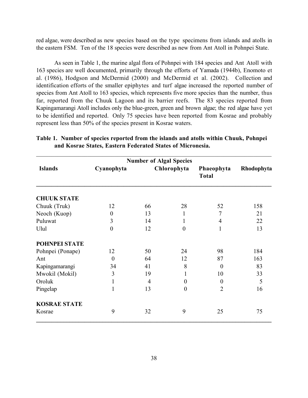red algae, were described as new species based on the type specimens from islands and atolls in the eastern FSM. Ten of the 18 species were described as new from Ant Atoll in Pohnpei State.

As seen in Table 1, the marine algal flora of Pohnpei with 184 species and Ant Atoll with 163 species are well documented, primarily through the efforts of Yamada (1944b), Enomoto et al. (1986), Hodgson and McDermid (2000) and McDermid et al. (2002). Collection and identification efforts of the smaller epiphytes and turf algae increased the reported number of species from Ant Atoll to 163 species, which represents five more species than the number, thus far, reported from the Chuuk Lagoon and its barrier reefs. The 83 species reported from Kapingamarangi Atoll includes only the blue-green, green and brown algae; the red algae have yet to be identified and reported. Only 75 species have been reported from Kosrae and probably represent less than 50% of the species present in Kosrae waters.

| <b>Number of Algal Species</b> |                  |                |             |                            |            |  |  |
|--------------------------------|------------------|----------------|-------------|----------------------------|------------|--|--|
| <b>Islands</b>                 | Cyanophyta       |                | Chlorophyta | Phaeophyta<br><b>Total</b> | Rhodophyta |  |  |
| <b>CHUUK STATE</b>             |                  |                |             |                            |            |  |  |
| Chuuk (Truk)                   | 12               | 66             | 28          | 52                         | 158        |  |  |
| Neoch (Kuop)                   | $\boldsymbol{0}$ | 13             | 1           | 7                          | 21         |  |  |
| Puluwat                        | 3                | 14             | 1           | $\overline{4}$             | 22         |  |  |
| Ulul                           | $\boldsymbol{0}$ | 12             | $\theta$    | 1                          | 13         |  |  |
| POHNPEI STATE                  |                  |                |             |                            |            |  |  |
| Pohnpei (Ponape)               | 12               | 50             | 24          | 98                         | 184        |  |  |
| Ant                            | $\overline{0}$   | 64             | 12          | 87                         | 163        |  |  |
| Kapingamarangi                 | 34               | 41             | 8           | $\theta$                   | 83         |  |  |
| Mwokil (Mokil)                 | 3                | 19             | 1           | 10                         | 33         |  |  |
| Oroluk                         | 1                | $\overline{4}$ | $\theta$    | $\Omega$                   | 5          |  |  |
| Pingelap                       | 1                | 13             | $\theta$    | $\overline{2}$             | 16         |  |  |
| <b>KOSRAE STATE</b>            |                  |                |             |                            |            |  |  |
| Kosrae                         | 9                | 32             | 9           | 25                         | 75         |  |  |

# **Table 1. Number of species reported from the islands and atolls within Chuuk, Pohnpei and Kosrae States, Eastern Federated States of Micronesia.**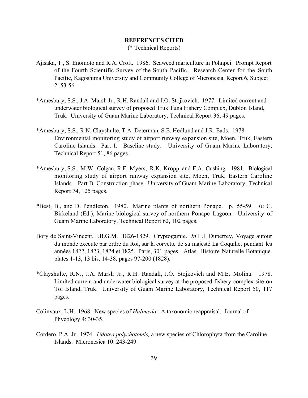# **REFERENCES CITED** (\* Technical Reports)

- Ajisaka, T., S. Enomoto and R.A. Croft. 1986. Seaweed mariculture in Pohnpei. Prompt Report of the Fourth Scientific Survey of the South Pacific. Research Center for the South Pacific, Kagoshima University and Community College of Micronesia, Report 6, Subject 2: 53-56
- \*Amesbury, S.S., J.A. Marsh Jr., R.H. Randall and J.O. Stojkovich. 1977. Limited current and underwater biological survey of proposed Truk Tuna Fishery Complex, Dublon Island, Truk. University of Guam Marine Laboratory, Technical Report 36, 49 pages.
- \*Amesbury, S.S., R.N. Clayshulte, T.A. Determan, S.E. Hedlund and J.R. Eads. 1978. Environmental monitoring study of airport runway expansion site, Moen, Truk, Eastern Caroline Islands. Part I. Baseline study. University of Guam Marine Laboratory, Technical Report 51, 86 pages.
- \*Amesbury, S.S., M.W. Colgan, R.F. Myers, R.K. Kropp and F.A. Cushing. 1981. Biological monitoring study of airport runway expansion site, Moen, Truk, Eastern Caroline Islands. Part B: Construction phase. University of Guam Marine Laboratory, Technical Report 74, 125 pages.
- \*Best, B., and D. Pendleton. 1980. Marine plants of northern Ponape. p. 55-59. *In* C. Birkeland (Ed.), Marine biological survey of northern Ponape Lagoon. University of Guam Marine Laboratory, Technical Report 62, 102 pages.
- Bory de Saint-Vincent, J.B.G.M. 1826-1829. Cryptogamie. *In* L.I. Duperrey, Voyage autour du monde execute par ordre du Roi, sur la corvette de sa majesté La Coquille, pendant les années 1822, 1823, 1824 et 1825. Paris, 301 pages. Atlas. Histoire Naturelle Botanique. plates 1-13, 13 bis, 14-38. pages 97-200 (1828).
- \*Clayshulte, R.N., J.A. Marsh Jr., R.H. Randall, J.O. Stojkovich and M.E. Molina. 1978. Limited current and underwater biological survey at the proposed fishery complex site on Tol Island, Truk. University of Guam Marine Laboratory, Technical Report 50, 117 pages.
- Colinvaux, L.H. 1968. New species of *Halimeda*: A taxonomic reappraisal. Journal of Phycology 4: 30-35.
- Cordero, P.A. Jr. 1974. *Udotea polychotomis,* a new species of Chlorophyta from the Caroline Islands. Micronesica 10: 243-249.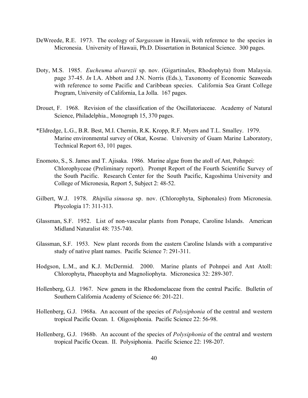- DeWreede, R.E. 1973. The ecology of *Sargassum* in Hawaii, with reference to the species in Micronesia. University of Hawaii, Ph.D. Dissertation in Botanical Science. 300 pages.
- Doty, M.S. 1985. *Eucheuma alvarezii* sp. nov. (Gigartinales, Rhodophyta) from Malaysia. page 37-45. *In* I.A. Abbott and J.N. Norris (Eds.), Taxonomy of Economic Seaweeds with reference to some Pacific and Caribbean species. California Sea Grant College Program, University of California, La Jolla. 167 pages.
- Drouet, F. 1968. Revision of the classification of the Oscillatoriaceae. Academy of Natural Science, Philadelphia., Monograph 15, 370 pages.
- \*Eldredge, L.G., B.R. Best, M.I. Chernin, R.K. Kropp, R.F. Myers and T.L. Smalley. 1979. Marine environmental survey of Okat, Kosrae. University of Guam Marine Laboratory, Technical Report 63, 101 pages.
- Enomoto, S., S. James and T. Ajisaka. 1986. Marine algae from the atoll of Ant, Pohnpei: Chlorophyceae (Preliminary report). Prompt Report of the Fourth Scientific Survey of the South Pacific. Research Center for the South Pacific, Kagoshima University and College of Micronesia, Report 5, Subject 2: 48-52.
- Gilbert, W.J. 1978. *Rhipilia sinuosa* sp. nov. (Chlorophyta, Siphonales) from Micronesia. Phycologia 17: 311-313.
- Glassman, S.F. 1952. List of non-vascular plants from Ponape, Caroline Islands. American Midland Naturalist 48: 735-740.
- Glassman, S.F. 1953. New plant records from the eastern Caroline Islands with a comparative study of native plant names. Pacific Science 7: 291-311.
- Hodgson, L.M., and K.J. McDermid. 2000. Marine plants of Pohnpei and Ant Atoll: Chlorophyta, Phaeophyta and Magnoliophyta. Micronesica 32: 289-307.
- Hollenberg, G.J. 1967. New genera in the Rhodomelaceae from the central Pacific. Bulletin of Southern California Academy of Science 66: 201-221.
- Hollenberg, G.J. 1968a. An account of the species of *Polysiphonia* of the central and western tropical Pacific Ocean. I. Oligosiphonia. Pacific Science 22: 56-98.
- Hollenberg, G.J. 1968b. An account of the species of *Polysiphonia* of the central and western tropical Pacific Ocean. II. Polysiphonia. Pacific Science 22: 198-207.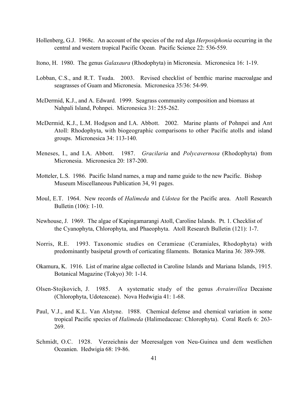- Hollenberg, G.J. 1968c. An account of the species of the red alga *Herposiphonia* occurring in the central and western tropical Pacific Ocean. Pacific Science 22: 536-559.
- Itono, H. 1980. The genus *Galaxaura* (Rhodophyta) in Micronesia. Micronesica 16: 1-19.
- Lobban, C.S., and R.T. Tsuda. 2003. Revised checklist of benthic marine macroalgae and seagrasses of Guam and Micronesia. Micronesica 35/36: 54-99.
- McDermid, K.J., and A. Edward. 1999. Seagrass community composition and biomass at Nahpali Island, Pohnpei. Micronesica 31: 255-262.
- McDermid, K.J., L.M. Hodgson and I.A. Abbott. 2002. Marine plants of Pohnpei and Ant Atoll: Rhodophyta, with biogeographic comparisons to other Pacific atolls and island groups. Micronesica 34: 113-140.
- Meneses, I., and I.A. Abbott. 1987. *Gracilaria* and *Polycavernosa* (Rhodophyta) from Micronesia. Micronesica 20: 187-200.
- Motteler, L.S. 1986. Pacific Island names, a map and name guide to the new Pacific. Bishop Museum Miscellaneous Publication 34, 91 pages.
- Moul, E.T. 1964. New records of *Halimeda* and *Udotea* for the Pacific area. Atoll Research Bulletin (106): 1-10.
- Newhouse, J. 1969. The algae of Kapingamarangi Atoll, Caroline Islands. Pt. 1. Checklist of the Cyanophyta, Chlorophyta, and Phaeophyta. Atoll Research Bulletin (121): 1-7.
- Norris, R.E. 1993. Taxonomic studies on Ceramieae (Ceramiales, Rhodophyta) with predominantly basipetal growth of corticating filaments. Botanica Marina 36: 389-398.
- Okamura, K. 1916. List of marine algae collected in Caroline Islands and Mariana Islands, 1915. Botanical Magazine (Tokyo) 30: 1-14.
- Olsen-Stojkovich, J. 1985. A systematic study of the genus *Avrainvillea* Decaisne (Chlorophyta, Udoteaceae). Nova Hedwigia 41: 1-68.
- Paul, V.J., and K.L. Van Alstyne. 1988. Chemical defense and chemical variation in some tropical Pacific species of *Halimeda* (Halimedaceae: Chlorophyta). Coral Reefs 6: 263- 269.
- Schmidt, O.C. 1928. Verzeichnis der Meeresalgen von Neu-Guinea und dem westlichen Oceanien. Hedwigia 68: 19-86.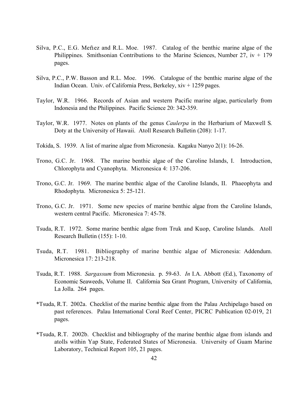- Silva, P.C., E.G. Meñez and R.L. Moe. 1987. Catalog of the benthic marine algae of the Philippines. Smithsonian Contributions to the Marine Sciences, Number 27,  $iv + 179$ pages.
- Silva, P.C., P.W. Basson and R.L. Moe. 1996. Catalogue of the benthic marine algae of the Indian Ocean. Univ. of California Press, Berkeley, xiv + 1259 pages.
- Taylor, W.R. 1966. Records of Asian and western Pacific marine algae, particularly from Indonesia and the Philippines. Pacific Science 20: 342-359.
- Taylor, W.R. 1977. Notes on plants of the genus *Caulerpa* in the Herbarium of Maxwell S. Doty at the University of Hawaii. Atoll Research Bulletin (208): 1-17.
- Tokida, S. 1939. A list of marine algae from Micronesia. Kagaku Nanyo 2(1): 16-26.
- Trono, G.C. Jr. 1968. The marine benthic algae of the Caroline Islands, I. Introduction, Chlorophyta and Cyanophyta. Micronesica 4: 137-206.
- Trono, G.C. Jr. 1969. The marine benthic algae of the Caroline Islands, II. Phaeophyta and Rhodophyta. Micronesica 5: 25-121.
- Trono, G.C. Jr. 1971. Some new species of marine benthic algae from the Caroline Islands, western central Pacific. Micronesica 7: 45-78.
- Tsuda, R.T. 1972. Some marine benthic algae from Truk and Kuop, Caroline Islands. Atoll Research Bulletin (155): 1-10.
- Tsuda, R.T. 1981. Bibliography of marine benthic algae of Micronesia: Addendum. Micronesica 17: 213-218.
- Tsuda, R.T. 1988. *Sargassum* from Micronesia. p. 59-63. *In* I.A. Abbott (Ed.), Taxonomy of Economic Seaweeds, Volume II. California Sea Grant Program, University of California, La Jolla. 264 pages.
- \*Tsuda, R.T. 2002a. Checklist of the marine benthic algae from the Palau Archipelago based on past references. Palau International Coral Reef Center, PICRC Publication 02-019, 21 pages.
- \*Tsuda, R.T. 2002b. Checklist and bibliography of the marine benthic algae from islands and atolls within Yap State, Federated States of Micronesia. University of Guam Marine Laboratory, Technical Report 105, 21 pages.